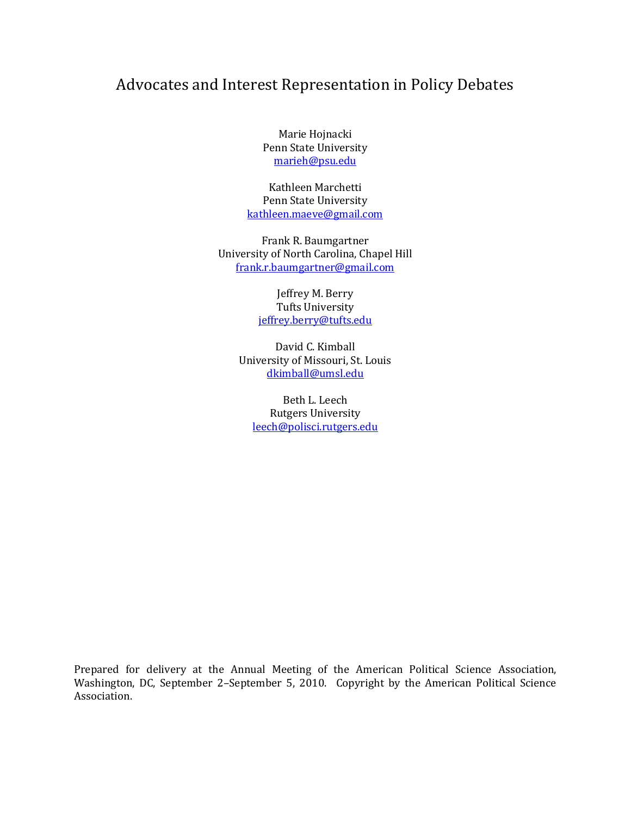# Advocates and Interest Representation in Policy Debates

Marie Hojnacki Penn State University [marieh@psu.edu](mailto:marieh@psu.edu)

Kathleen Marchetti Penn State University [kathleen.maeve@gmail.com](mailto:kathleen.maeve@gmail.com)

Frank R. Baumgartner University of North Carolina, Chapel Hill [frank.r.baumgartner@gmail.com](mailto:frank.r.baumgartner@gmail.com)

> Jeffrey M. Berry Tufts University [jeffrey.berry@tufts.edu](mailto:jeffrey.berry@tufts.edu)

David C. Kimball University of Missouri, St. Louis [dkimball@umsl.edu](mailto:dkimball@umsl.edu)

Beth L. Leech Rutgers University [leech@polisci.rutgers.edu](mailto:leech@polisci.rutgers.edu)

Prepared for delivery at the Annual Meeting of the American Political Science Association, Washington, DC, September 2–September 5, 2010. Copyright by the American Political Science Association.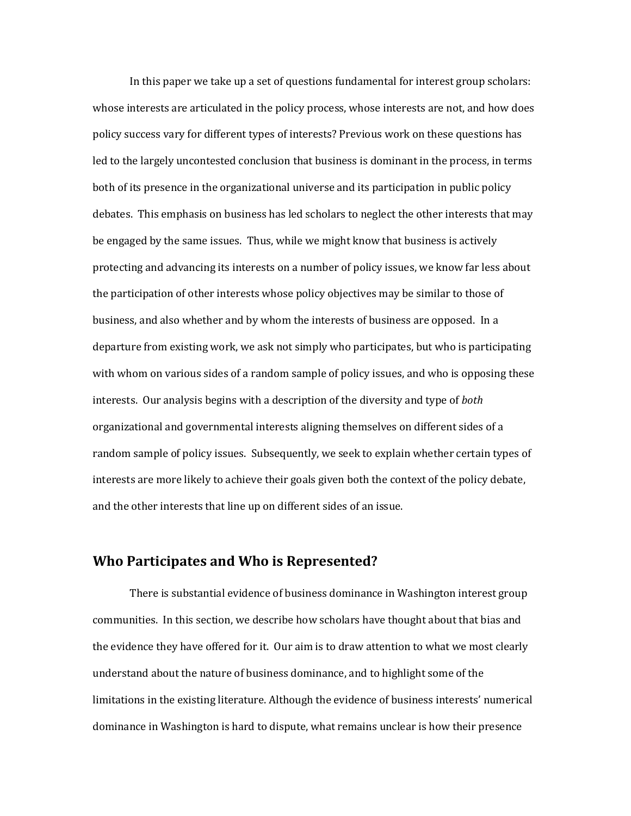In this paper we take up a set of questions fundamental for interest group scholars: whose interests are articulated in the policy process, whose interests are not, and how does policy success vary for different types of interests? Previous work on these questions has led to the largely uncontested conclusion that business is dominant in the process, in terms both of its presence in the organizational universe and its participation in public policy debates. This emphasis on business has led scholars to neglect the other interests that may be engaged by the same issues. Thus, while we might know that business is actively protecting and advancing its interests on a number of policy issues, we know far less about the participation of other interests whose policy objectives may be similar to those of business, and also whether and by whom the interests of business are opposed. In a departure from existing work, we ask not simply who participates, but who is participating with whom on various sides of a random sample of policy issues, and who is opposing these interests. Our analysis begins with a description of the diversity and type of *both* organizational and governmental interests aligning themselves on different sides of a random sample of policy issues. Subsequently, we seek to explain whether certain types of interests are more likely to achieve their goals given both the context of the policy debate, and the other interests that line up on different sides of an issue.

## **Who Participates and Who is Represented?**

There is substantial evidence of business dominance in Washington interest group communities. In this section, we describe how scholars have thought about that bias and the evidence they have offered for it. Our aim is to draw attention to what we most clearly understand about the nature of business dominance, and to highlight some of the limitations in the existing literature. Although the evidence of business interests' numerical dominance in Washington is hard to dispute, what remains unclear is how their presence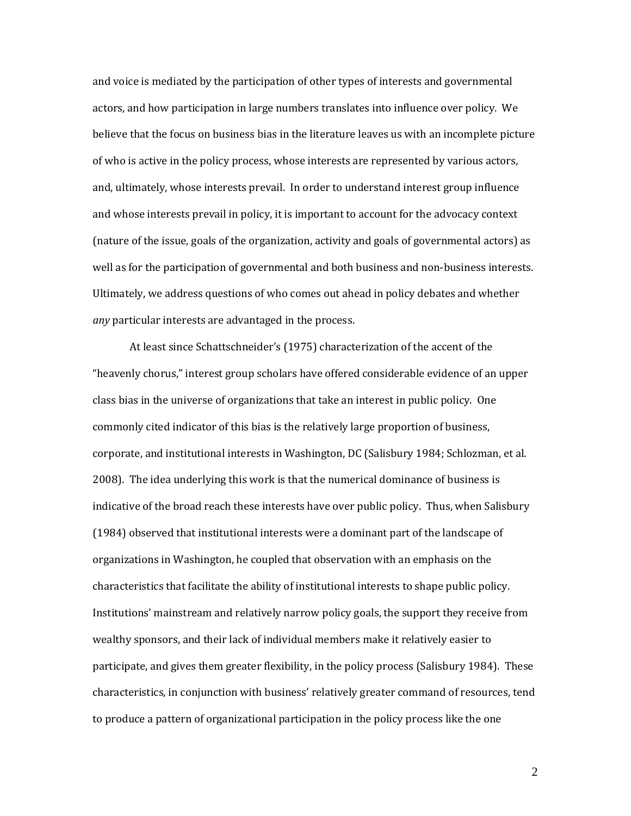and voice is mediated by the participation of other types of interests and governmental actors, and how participation in large numbers translates into influence over policy. We believe that the focus on business bias in the literature leaves us with an incomplete picture of who is active in the policy process, whose interests are represented by various actors, and, ultimately, whose interests prevail. In order to understand interest group influence and whose interests prevail in policy, it is important to account for the advocacy context (nature of the issue, goals of the organization, activity and goals of governmental actors) as well as for the participation of governmental and both business and non-business interests. Ultimately, we address questions of who comes out ahead in policy debates and whether *any* particular interests are advantaged in the process.

At least since Schattschneider's (1975) characterization of the accent of the "heavenly chorus," interest group scholars have offered considerable evidence of an upper class bias in the universe of organizations that take an interest in public policy. One commonly cited indicator of this bias is the relatively large proportion of business, corporate, and institutional interests in Washington, DC (Salisbury 1984; Schlozman, et al. 2008). The idea underlying this work is that the numerical dominance of business is indicative of the broad reach these interests have over public policy. Thus, when Salisbury (1984) observed that institutional interests were a dominant part of the landscape of organizations in Washington, he coupled that observation with an emphasis on the characteristics that facilitate the ability of institutional interests to shape public policy. Institutions' mainstream and relatively narrow policy goals, the support they receive from wealthy sponsors, and their lack of individual members make it relatively easier to participate, and gives them greater flexibility, in the policy process (Salisbury 1984). These characteristics, in conjunction with business' relatively greater command of resources, tend to produce a pattern of organizational participation in the policy process like the one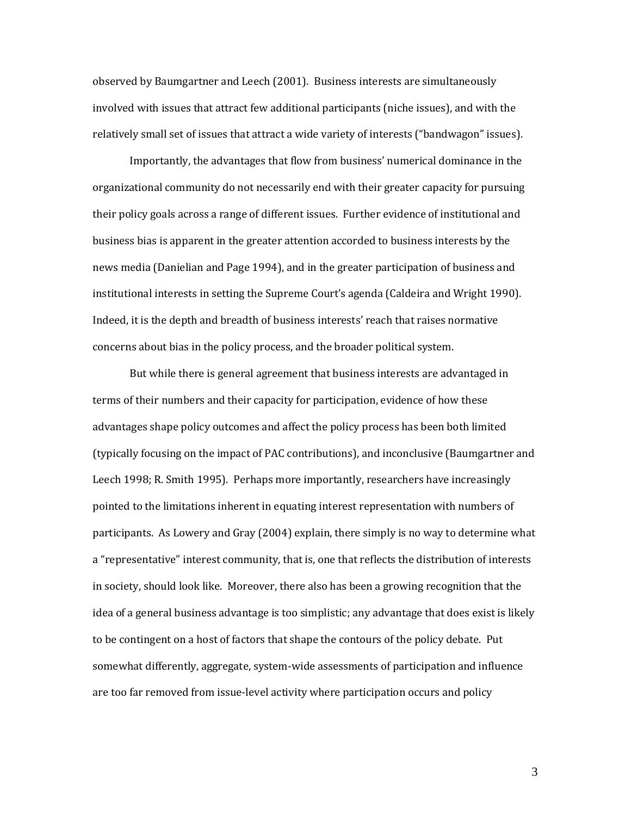observed by Baumgartner and Leech (2001). Business interests are simultaneously involved with issues that attract few additional participants (niche issues), and with the relatively small set of issues that attract a wide variety of interests ("bandwagon" issues).

Importantly, the advantages that flow from business' numerical dominance in the organizational community do not necessarily end with their greater capacity for pursuing their policy goals across a range of different issues. Further evidence of institutional and business bias is apparent in the greater attention accorded to business interests by the news media (Danielian and Page 1994), and in the greater participation of business and institutional interests in setting the Supreme Court's agenda (Caldeira and Wright 1990). Indeed, it is the depth and breadth of business interests' reach that raises normative concerns about bias in the policy process, and the broader political system.

But while there is general agreement that business interests are advantaged in terms of their numbers and their capacity for participation, evidence of how these advantages shape policy outcomes and affect the policy process has been both limited (typically focusing on the impact of PAC contributions), and inconclusive (Baumgartner and Leech 1998; R. Smith 1995). Perhaps more importantly, researchers have increasingly pointed to the limitations inherent in equating interest representation with numbers of participants. As Lowery and Gray (2004) explain, there simply is no way to determine what a "representative" interest community, that is, one that reflects the distribution of interests in society, should look like. Moreover, there also has been a growing recognition that the idea of a general business advantage is too simplistic; any advantage that does exist is likely to be contingent on a host of factors that shape the contours of the policy debate. Put somewhat differently, aggregate, system-wide assessments of participation and influence are too far removed from issue-level activity where participation occurs and policy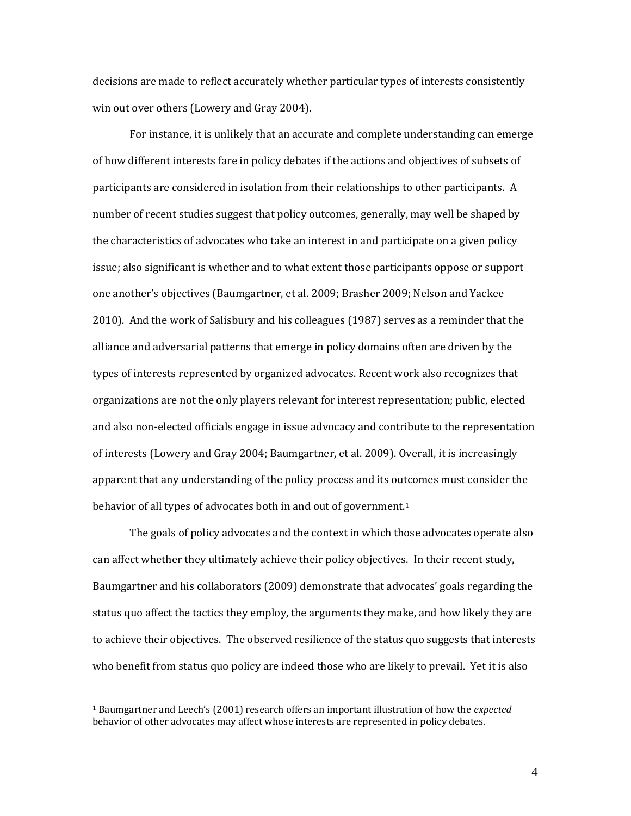decisions are made to reflect accurately whether particular types of interests consistently win out over others (Lowery and Gray 2004).

For instance, it is unlikely that an accurate and complete understanding can emerge of how different interests fare in policy debates if the actions and objectives of subsets of participants are considered in isolation from their relationships to other participants. A number of recent studies suggest that policy outcomes, generally, may well be shaped by the characteristics of advocates who take an interest in and participate on a given policy issue; also significant is whether and to what extent those participants oppose or support one another's objectives (Baumgartner, et al. 2009; Brasher 2009; Nelson and Yackee 2010). And the work of Salisbury and his colleagues (1987) serves as a reminder that the alliance and adversarial patterns that emerge in policy domains often are driven by the types of interests represented by organized advocates. Recent work also recognizes that organizations are not the only players relevant for interest representation; public, elected and also non-elected officials engage in issue advocacy and contribute to the representation of interests (Lowery and Gray 2004; Baumgartner, et al. 2009). Overall, it is increasingly apparent that any understanding of the policy process and its outcomes must consider the behavior of all types of advocates both in and out of government.<sup>1</sup>

The goals of policy advocates and the context in which those advocates operate also can affect whether they ultimately achieve their policy objectives. In their recent study, Baumgartner and his collaborators (2009) demonstrate that advocates' goals regarding the status quo affect the tactics they employ, the arguments they make, and how likely they are to achieve their objectives. The observed resilience of the status quo suggests that interests who benefit from status quo policy are indeed those who are likely to prevail. Yet it is also

<sup>1</sup> Baumgartner and Leech's (2001) research offers an important illustration of how the *expected* behavior of other advocates may affect whose interests are represented in policy debates.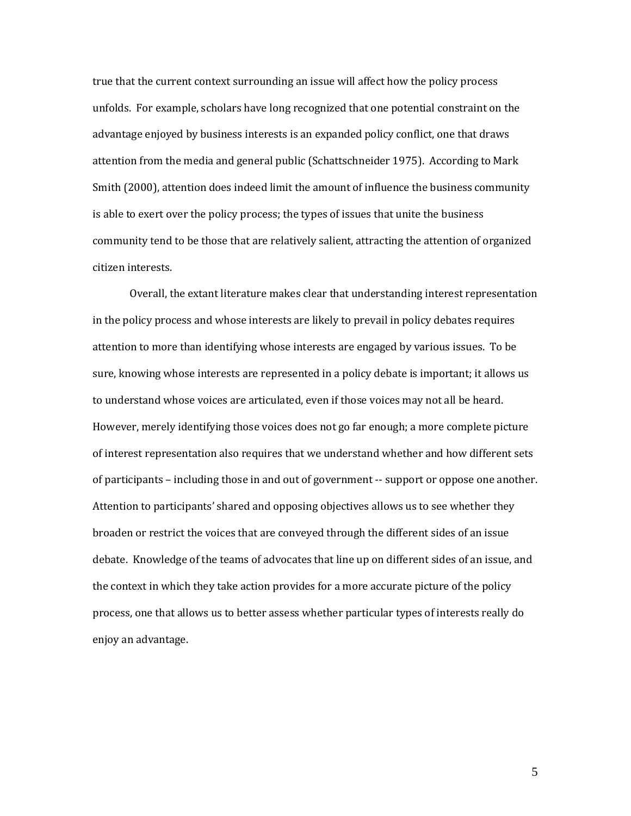true that the current context surrounding an issue will affect how the policy process unfolds. For example, scholars have long recognized that one potential constraint on the advantage enjoyed by business interests is an expanded policy conflict, one that draws attention from the media and general public (Schattschneider 1975). According to Mark Smith (2000), attention does indeed limit the amount of influence the business community is able to exert over the policy process; the types of issues that unite the business community tend to be those that are relatively salient, attracting the attention of organized citizen interests.

Overall, the extant literature makes clear that understanding interest representation in the policy process and whose interests are likely to prevail in policy debates requires attention to more than identifying whose interests are engaged by various issues. To be sure, knowing whose interests are represented in a policy debate is important; it allows us to understand whose voices are articulated, even if those voices may not all be heard. However, merely identifying those voices does not go far enough; a more complete picture of interest representation also requires that we understand whether and how different sets of participants – including those in and out of government -- support or oppose one another. Attention to participants' shared and opposing objectives allows us to see whether they broaden or restrict the voices that are conveyed through the different sides of an issue debate. Knowledge of the teams of advocates that line up on different sides of an issue, and the context in which they take action provides for a more accurate picture of the policy process, one that allows us to better assess whether particular types of interests really do enjoy an advantage.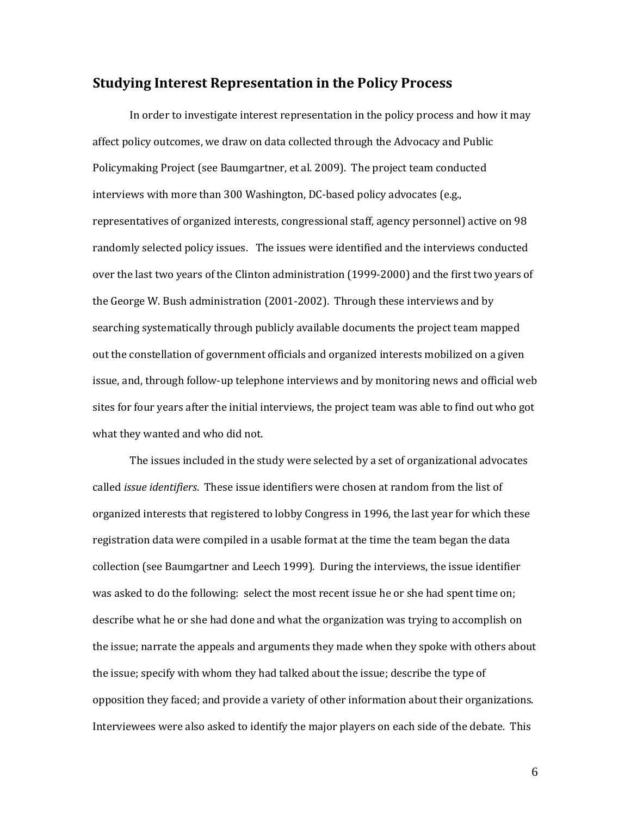## **Studying Interest Representation in the Policy Process**

In order to investigate interest representation in the policy process and how it may affect policy outcomes, we draw on data collected through the Advocacy and Public Policymaking Project (see Baumgartner, et al. 2009). The project team conducted interviews with more than 300 Washington, DC-based policy advocates (e.g., representatives of organized interests, congressional staff, agency personnel) active on 98 randomly selected policy issues. The issues were identified and the interviews conducted over the last two years of the Clinton administration (1999-2000) and the first two years of the George W. Bush administration (2001-2002). Through these interviews and by searching systematically through publicly available documents the project team mapped out the constellation of government officials and organized interests mobilized on a given issue, and, through follow-up telephone interviews and by monitoring news and official web sites for four years after the initial interviews, the project team was able to find out who got what they wanted and who did not.

The issues included in the study were selected by a set of organizational advocates called *issue identifiers*. These issue identifiers were chosen at random from the list of organized interests that registered to lobby Congress in 1996, the last year for which these registration data were compiled in a usable format at the time the team began the data collection (see Baumgartner and Leech 1999). During the interviews, the issue identifier was asked to do the following: select the most recent issue he or she had spent time on; describe what he or she had done and what the organization was trying to accomplish on the issue; narrate the appeals and arguments they made when they spoke with others about the issue; specify with whom they had talked about the issue; describe the type of opposition they faced; and provide a variety of other information about their organizations. Interviewees were also asked to identify the major players on each side of the debate. This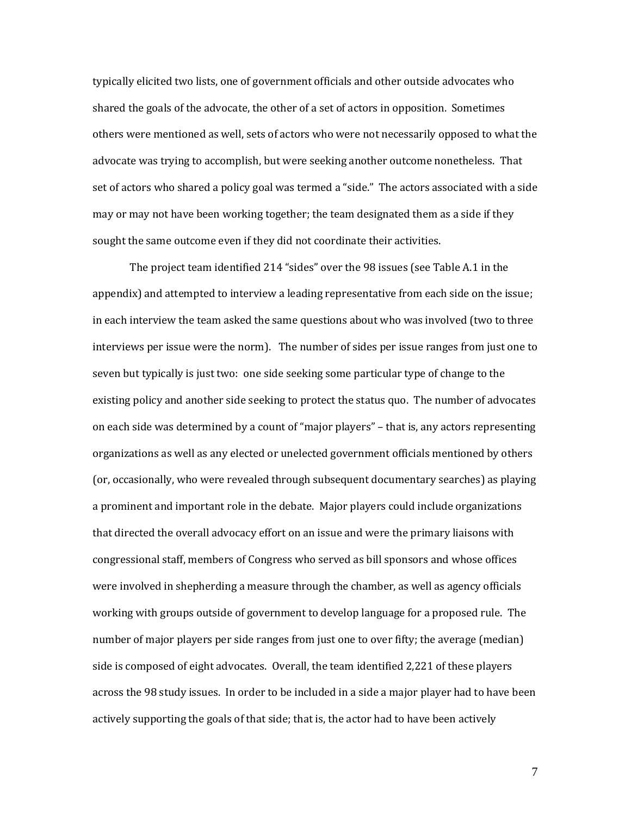typically elicited two lists, one of government officials and other outside advocates who shared the goals of the advocate, the other of a set of actors in opposition. Sometimes others were mentioned as well, sets of actors who were not necessarily opposed to what the advocate was trying to accomplish, but were seeking another outcome nonetheless. That set of actors who shared a policy goal was termed a "side." The actors associated with a side may or may not have been working together; the team designated them as a side if they sought the same outcome even if they did not coordinate their activities.

The project team identified 214 "sides" over the 98 issues (see Table A.1 in the appendix) and attempted to interview a leading representative from each side on the issue; in each interview the team asked the same questions about who was involved (two to three interviews per issue were the norm). The number of sides per issue ranges from just one to seven but typically is just two: one side seeking some particular type of change to the existing policy and another side seeking to protect the status quo. The number of advocates on each side was determined by a count of "major players" – that is, any actors representing organizations as well as any elected or unelected government officials mentioned by others (or, occasionally, who were revealed through subsequent documentary searches) as playing a prominent and important role in the debate. Major players could include organizations that directed the overall advocacy effort on an issue and were the primary liaisons with congressional staff, members of Congress who served as bill sponsors and whose offices were involved in shepherding a measure through the chamber, as well as agency officials working with groups outside of government to develop language for a proposed rule. The number of major players per side ranges from just one to over fifty; the average (median) side is composed of eight advocates. Overall, the team identified 2,221 of these players across the 98 study issues. In order to be included in a side a major player had to have been actively supporting the goals of that side; that is, the actor had to have been actively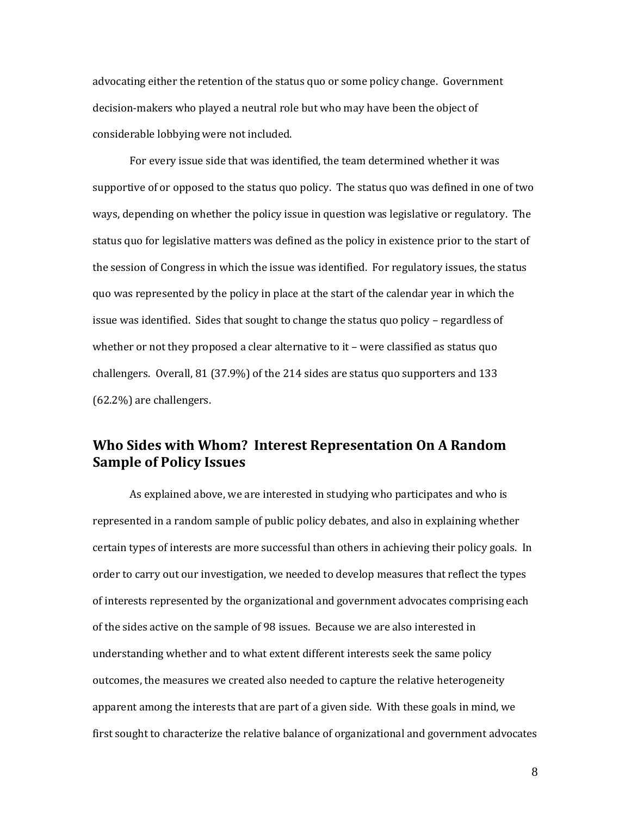advocating either the retention of the status quo or some policy change. Government decision-makers who played a neutral role but who may have been the object of considerable lobbying were not included.

For every issue side that was identified, the team determined whether it was supportive of or opposed to the status quo policy. The status quo was defined in one of two ways, depending on whether the policy issue in question was legislative or regulatory. The status quo for legislative matters was defined as the policy in existence prior to the start of the session of Congress in which the issue was identified. For regulatory issues, the status quo was represented by the policy in place at the start of the calendar year in which the issue was identified. Sides that sought to change the status quo policy – regardless of whether or not they proposed a clear alternative to it – were classified as status quo challengers. Overall, 81 (37.9%) of the 214 sides are status quo supporters and 133 (62.2%) are challengers.

# **Who Sides with Whom? Interest Representation On A Random Sample of Policy Issues**

As explained above, we are interested in studying who participates and who is represented in a random sample of public policy debates, and also in explaining whether certain types of interests are more successful than others in achieving their policy goals. In order to carry out our investigation, we needed to develop measures that reflect the types of interests represented by the organizational and government advocates comprising each of the sides active on the sample of 98 issues. Because we are also interested in understanding whether and to what extent different interests seek the same policy outcomes, the measures we created also needed to capture the relative heterogeneity apparent among the interests that are part of a given side. With these goals in mind, we first sought to characterize the relative balance of organizational and government advocates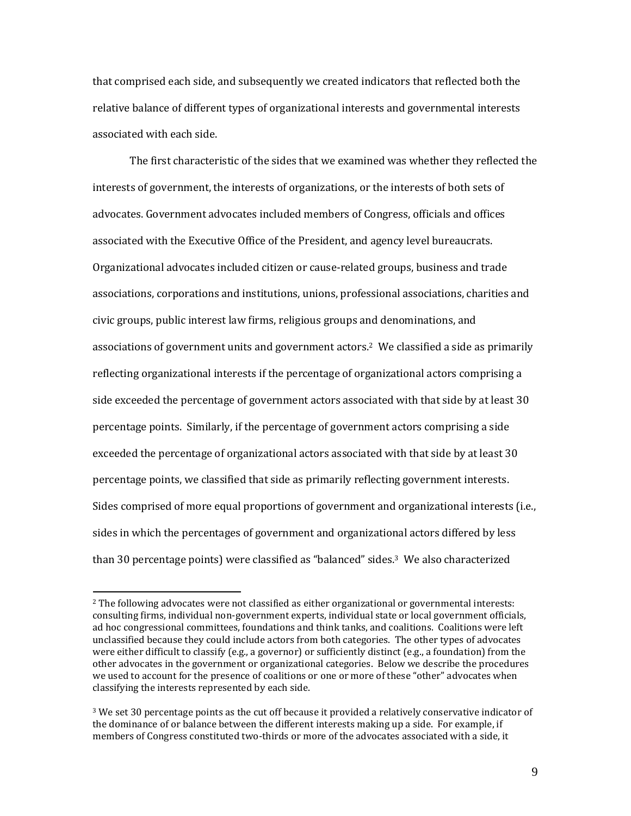that comprised each side, and subsequently we created indicators that reflected both the relative balance of different types of organizational interests and governmental interests associated with each side.

The first characteristic of the sides that we examined was whether they reflected the interests of government, the interests of organizations, or the interests of both sets of advocates. Government advocates included members of Congress, officials and offices associated with the Executive Office of the President, and agency level bureaucrats. Organizational advocates included citizen or cause-related groups, business and trade associations, corporations and institutions, unions, professional associations, charities and civic groups, public interest law firms, religious groups and denominations, and associations of government units and government actors.2 We classified a side as primarily reflecting organizational interests if the percentage of organizational actors comprising a side exceeded the percentage of government actors associated with that side by at least 30 percentage points. Similarly, if the percentage of government actors comprising a side exceeded the percentage of organizational actors associated with that side by at least 30 percentage points, we classified that side as primarily reflecting government interests. Sides comprised of more equal proportions of government and organizational interests (i.e., sides in which the percentages of government and organizational actors differed by less than 30 percentage points) were classified as "balanced" sides.3 We also characterized

<sup>2</sup> The following advocates were not classified as either organizational or governmental interests: consulting firms, individual non-government experts, individual state or local government officials, ad hoc congressional committees, foundations and think tanks, and coalitions. Coalitions were left unclassified because they could include actors from both categories. The other types of advocates were either difficult to classify (e.g., a governor) or sufficiently distinct (e.g., a foundation) from the other advocates in the government or organizational categories. Below we describe the procedures we used to account for the presence of coalitions or one or more of these "other" advocates when classifying the interests represented by each side.

 $3$  We set 30 percentage points as the cut off because it provided a relatively conservative indicator of the dominance of or balance between the different interests making up a side. For example, if members of Congress constituted two-thirds or more of the advocates associated with a side, it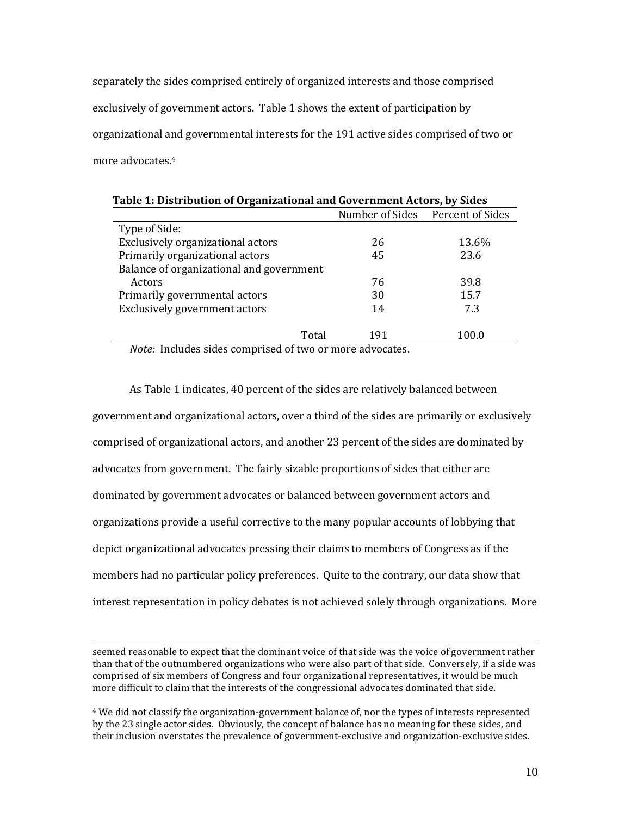separately the sides comprised entirely of organized interests and those comprised exclusively of government actors. Table 1 shows the extent of participation by organizational and governmental interests for the 191 active sides comprised of two or more advocates.<sup>4</sup>

|                                          |     | Number of Sides Percent of Sides |
|------------------------------------------|-----|----------------------------------|
|                                          |     |                                  |
| Type of Side:                            |     |                                  |
| Exclusively organizational actors        | 26  | 13.6%                            |
| Primarily organizational actors          | 45  | 23.6                             |
| Balance of organizational and government |     |                                  |
| Actors                                   | 76  | 39.8                             |
| Primarily governmental actors            | 30  | 15.7                             |
| Exclusively government actors            | 14  | 7.3                              |
| Total                                    | 191 | 100.0                            |

*Note:* Includes sides comprised of two or more advocates.

As Table 1 indicates, 40 percent of the sides are relatively balanced between government and organizational actors, over a third of the sides are primarily or exclusively comprised of organizational actors, and another 23 percent of the sides are dominated by advocates from government. The fairly sizable proportions of sides that either are dominated by government advocates or balanced between government actors and organizations provide a useful corrective to the many popular accounts of lobbying that depict organizational advocates pressing their claims to members of Congress as if the members had no particular policy preferences. Quite to the contrary, our data show that interest representation in policy debates is not achieved solely through organizations. More

seemed reasonable to expect that the dominant voice of that side was the voice of government rather than that of the outnumbered organizations who were also part of that side. Conversely, if a side was comprised of six members of Congress and four organizational representatives, it would be much more difficult to claim that the interests of the congressional advocates dominated that side.

<sup>4</sup> We did not classify the organization-government balance of, nor the types of interests represented by the 23 single actor sides. Obviously, the concept of balance has no meaning for these sides, and their inclusion overstates the prevalence of government-exclusive and organization-exclusive sides.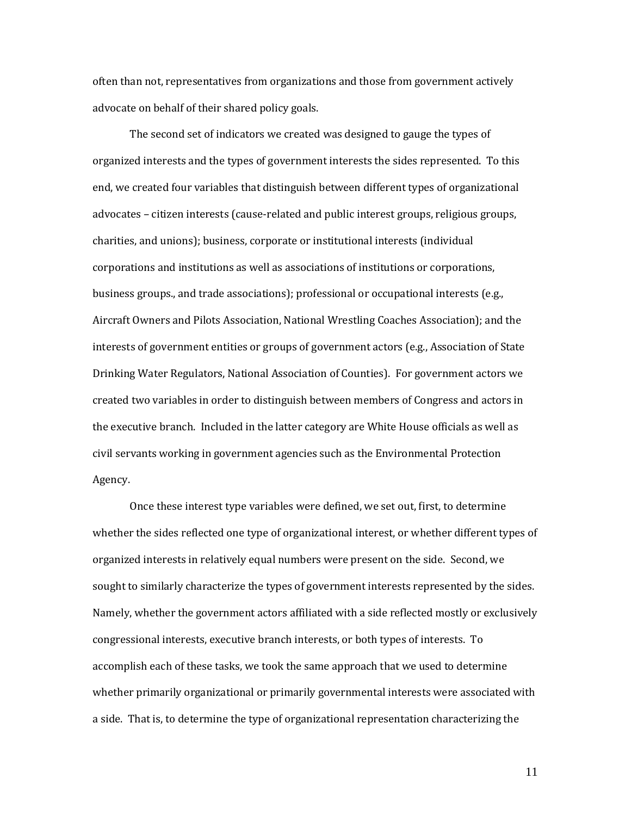often than not, representatives from organizations and those from government actively advocate on behalf of their shared policy goals.

The second set of indicators we created was designed to gauge the types of organized interests and the types of government interests the sides represented. To this end, we created four variables that distinguish between different types of organizational advocates – citizen interests (cause-related and public interest groups, religious groups, charities, and unions); business, corporate or institutional interests (individual corporations and institutions as well as associations of institutions or corporations, business groups., and trade associations); professional or occupational interests (e.g., Aircraft Owners and Pilots Association, National Wrestling Coaches Association); and the interests of government entities or groups of government actors (e.g., Association of State Drinking Water Regulators, National Association of Counties). For government actors we created two variables in order to distinguish between members of Congress and actors in the executive branch. Included in the latter category are White House officials as well as civil servants working in government agencies such as the Environmental Protection Agency.

Once these interest type variables were defined, we set out, first, to determine whether the sides reflected one type of organizational interest, or whether different types of organized interests in relatively equal numbers were present on the side. Second, we sought to similarly characterize the types of government interests represented by the sides. Namely, whether the government actors affiliated with a side reflected mostly or exclusively congressional interests, executive branch interests, or both types of interests. To accomplish each of these tasks, we took the same approach that we used to determine whether primarily organizational or primarily governmental interests were associated with a side. That is, to determine the type of organizational representation characterizing the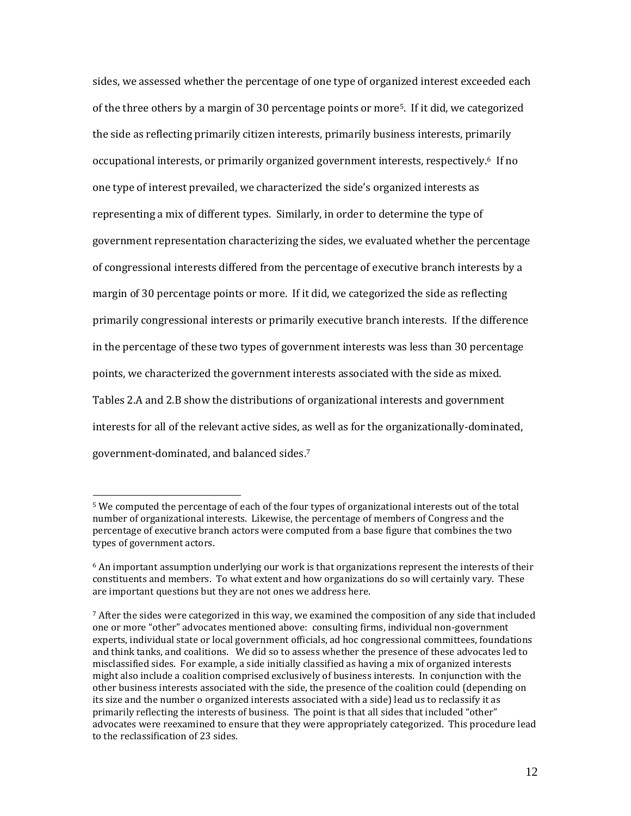sides, we assessed whether the percentage of one type of organized interest exceeded each of the three others by a margin of 30 percentage points or more5. If it did, we categorized the side as reflecting primarily citizen interests, primarily business interests, primarily occupational interests, or primarily organized government interests, respectively.6 If no one type of interest prevailed, we characterized the side's organized interests as representing a mix of different types. Similarly, in order to determine the type of government representation characterizing the sides, we evaluated whether the percentage of congressional interests differed from the percentage of executive branch interests by a margin of 30 percentage points or more. If it did, we categorized the side as reflecting primarily congressional interests or primarily executive branch interests. If the difference in the percentage of these two types of government interests was less than 30 percentage points, we characterized the government interests associated with the side as mixed. Tables 2.A and 2.B show the distributions of organizational interests and government interests for all of the relevant active sides, as well as for the organizationally-dominated, government-dominated, and balanced sides.<sup>7</sup>

<sup>5</sup> We computed the percentage of each of the four types of organizational interests out of the total number of organizational interests. Likewise, the percentage of members of Congress and the percentage of executive branch actors were computed from a base figure that combines the two types of government actors.

 $6$  An important assumption underlying our work is that organizations represent the interests of their constituents and members. To what extent and how organizations do so will certainly vary. These are important questions but they are not ones we address here.

 $7$  After the sides were categorized in this way, we examined the composition of any side that included one or more "other" advocates mentioned above: consulting firms, individual non-government experts, individual state or local government officials, ad hoc congressional committees, foundations and think tanks, and coalitions. We did so to assess whether the presence of these advocates led to misclassified sides. For example, a side initially classified as having a mix of organized interests might also include a coalition comprised exclusively of business interests. In conjunction with the other business interests associated with the side, the presence of the coalition could (depending on its size and the number o organized interests associated with a side) lead us to reclassify it as primarily reflecting the interests of business. The point is that all sides that included "other" advocates were reexamined to ensure that they were appropriately categorized. This procedure lead to the reclassification of 23 sides.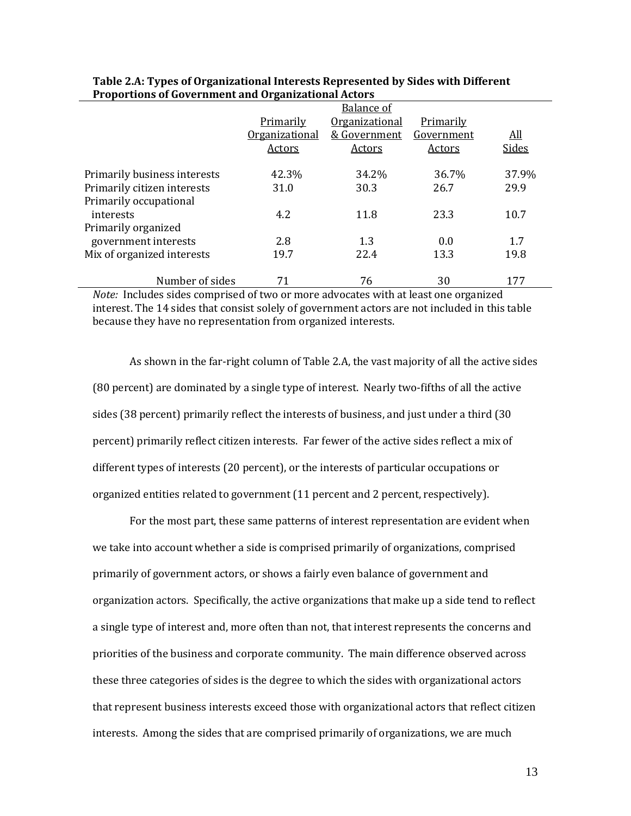|                              | <b>Balance of</b>     |                       |                  |            |  |
|------------------------------|-----------------------|-----------------------|------------------|------------|--|
|                              | Primarily             | <b>Organizational</b> | <b>Primarily</b> |            |  |
|                              | <b>Organizational</b> | & Government          | Government       | <u>All</u> |  |
|                              | Actors                | Actors                | Actors           | Sides      |  |
| Primarily business interests | 42.3%                 | 34.2%                 | 36.7%            | 37.9%      |  |
| Primarily citizen interests  | 31.0                  | 30.3                  | 26.7             | 29.9       |  |
| Primarily occupational       |                       |                       |                  |            |  |
| interests                    | 4.2                   | 11.8                  | 23.3             | 10.7       |  |
| Primarily organized          |                       |                       |                  |            |  |
| government interests         | 2.8                   | 1.3                   | 0.0              | 1.7        |  |
| Mix of organized interests   | 19.7                  | 22.4                  | 13.3             | 19.8       |  |
| Number of sides              | 71                    | 76                    | 30               | 177        |  |

| Table 2.A: Types of Organizational Interests Represented by Sides with Different |
|----------------------------------------------------------------------------------|
| <b>Proportions of Government and Organizational Actors</b>                       |

*Note:* Includes sides comprised of two or more advocates with at least one organized interest. The 14 sides that consist solely of government actors are not included in this table because they have no representation from organized interests.

As shown in the far-right column of Table 2.A, the vast majority of all the active sides (80 percent) are dominated by a single type of interest. Nearly two-fifths of all the active sides (38 percent) primarily reflect the interests of business, and just under a third (30 percent) primarily reflect citizen interests. Far fewer of the active sides reflect a mix of different types of interests (20 percent), or the interests of particular occupations or organized entities related to government (11 percent and 2 percent, respectively).

For the most part, these same patterns of interest representation are evident when we take into account whether a side is comprised primarily of organizations, comprised primarily of government actors, or shows a fairly even balance of government and organization actors. Specifically, the active organizations that make up a side tend to reflect a single type of interest and, more often than not, that interest represents the concerns and priorities of the business and corporate community. The main difference observed across these three categories of sides is the degree to which the sides with organizational actors that represent business interests exceed those with organizational actors that reflect citizen interests. Among the sides that are comprised primarily of organizations, we are much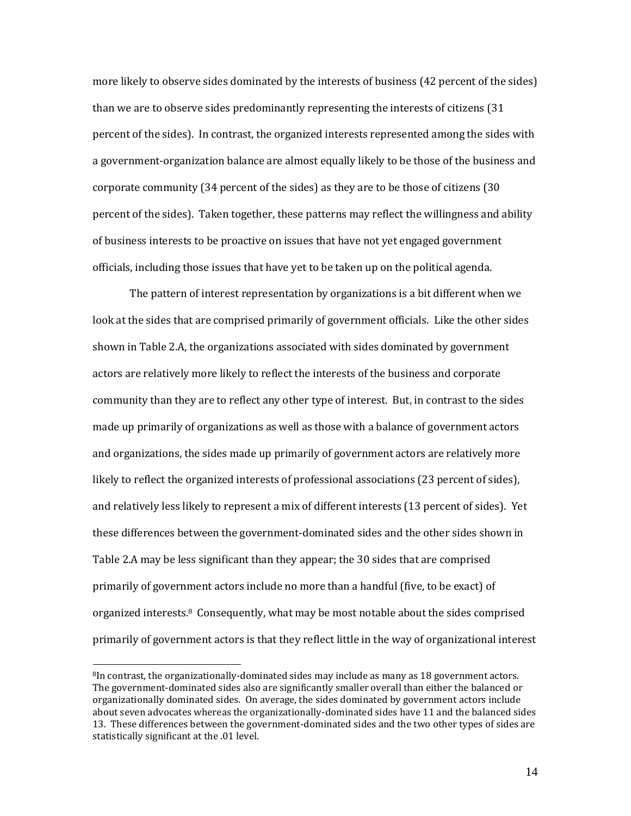more likely to observe sides dominated by the interests of business (42 percent of the sides) than we are to observe sides predominantly representing the interests of citizens (31 percent of the sides). In contrast, the organized interests represented among the sides with a government-organization balance are almost equally likely to be those of the business and corporate community (34 percent of the sides) as they are to be those of citizens (30 percent of the sides). Taken together, these patterns may reflect the willingness and ability of business interests to be proactive on issues that have not yet engaged government officials, including those issues that have yet to be taken up on the political agenda.

The pattern of interest representation by organizations is a bit different when we look at the sides that are comprised primarily of government officials. Like the other sides shown in Table 2.A, the organizations associated with sides dominated by government actors are relatively more likely to reflect the interests of the business and corporate community than they are to reflect any other type of interest. But, in contrast to the sides made up primarily of organizations as well as those with a balance of government actors and organizations, the sides made up primarily of government actors are relatively more likely to reflect the organized interests of professional associations (23 percent of sides), and relatively less likely to represent a mix of different interests (13 percent of sides). Yet these differences between the government-dominated sides and the other sides shown in Table 2.A may be less significant than they appear; the 30 sides that are comprised primarily of government actors include no more than a handful (five, to be exact) of organized interests.8 Consequently, what may be most notable about the sides comprised primarily of government actors is that they reflect little in the way of organizational interest

 $\overline{a}$ 

<sup>&</sup>lt;sup>8</sup>In contrast, the organizationally-dominated sides may include as many as 18 government actors. The government-dominated sides also are significantly smaller overall than either the balanced or organizationally dominated sides. On average, the sides dominated by government actors include about seven advocates whereas the organizationally-dominated sides have 11 and the balanced sides 13. These differences between the government-dominated sides and the two other types of sides are statistically significant at the .01 level.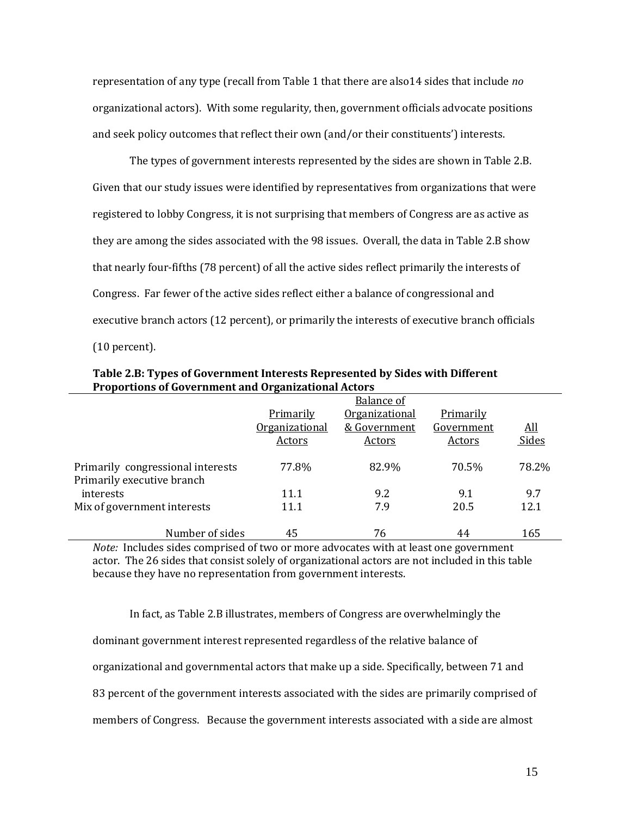representation of any type (recall from Table 1 that there are also14 sides that include *no* organizational actors). With some regularity, then, government officials advocate positions and seek policy outcomes that reflect their own (and/or their constituents') interests.

The types of government interests represented by the sides are shown in Table 2.B. Given that our study issues were identified by representatives from organizations that were registered to lobby Congress, it is not surprising that members of Congress are as active as they are among the sides associated with the 98 issues. Overall, the data in Table 2.B show that nearly four-fifths (78 percent) of all the active sides reflect primarily the interests of Congress. Far fewer of the active sides reflect either a balance of congressional and executive branch actors (12 percent), or primarily the interests of executive branch officials (10 percent).

|                                                                 | <b>Balance of</b> |                       |            |            |  |
|-----------------------------------------------------------------|-------------------|-----------------------|------------|------------|--|
|                                                                 | Primarily         | <b>Organizational</b> | Primarily  |            |  |
|                                                                 | Organizational    | & Government          | Government | <u>All</u> |  |
|                                                                 | Actors            | Actors                | Actors     | Sides      |  |
| Primarily congressional interests<br>Primarily executive branch | 77.8%             | 82.9%                 | 70.5%      | 78.2%      |  |
| interests                                                       | 11.1              | 9.2                   | 9.1        | 9.7        |  |
| Mix of government interests                                     | 11.1              | 7.9                   | 20.5       | 12.1       |  |
| Number of sides                                                 | 45                | 76                    | 44         | 165        |  |

**Table 2.B: Types of Government Interests Represented by Sides with Different Proportions of Government and Organizational Actors**

*Note:* Includes sides comprised of two or more advocates with at least one government actor. The 26 sides that consist solely of organizational actors are not included in this table because they have no representation from government interests.

In fact, as Table 2.B illustrates, members of Congress are overwhelmingly the dominant government interest represented regardless of the relative balance of organizational and governmental actors that make up a side. Specifically, between 71 and 83 percent of the government interests associated with the sides are primarily comprised of members of Congress. Because the government interests associated with a side are almost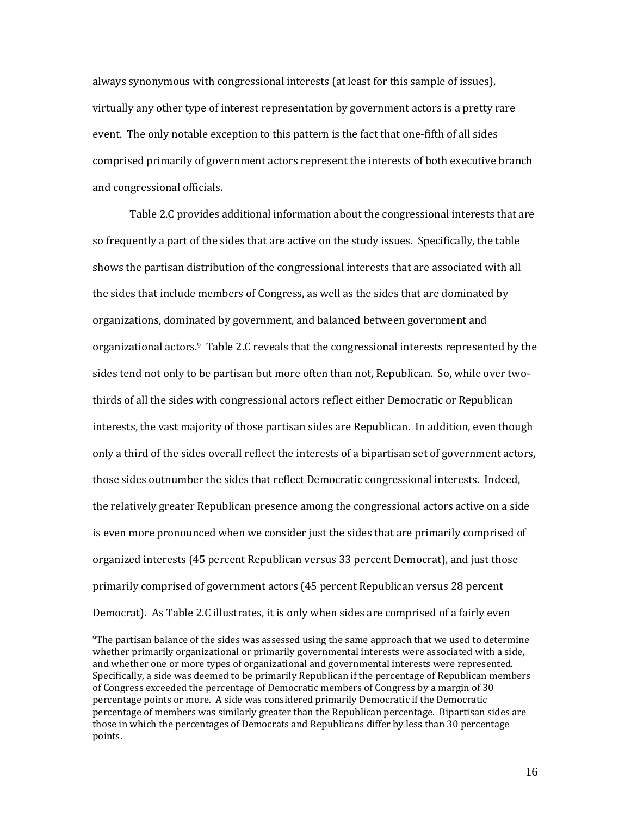always synonymous with congressional interests (at least for this sample of issues), virtually any other type of interest representation by government actors is a pretty rare event. The only notable exception to this pattern is the fact that one-fifth of all sides comprised primarily of government actors represent the interests of both executive branch and congressional officials.

Table 2.C provides additional information about the congressional interests that are so frequently a part of the sides that are active on the study issues. Specifically, the table shows the partisan distribution of the congressional interests that are associated with all the sides that include members of Congress, as well as the sides that are dominated by organizations, dominated by government, and balanced between government and organizational actors.9 Table 2.C reveals that the congressional interests represented by the sides tend not only to be partisan but more often than not, Republican. So, while over twothirds of all the sides with congressional actors reflect either Democratic or Republican interests, the vast majority of those partisan sides are Republican. In addition, even though only a third of the sides overall reflect the interests of a bipartisan set of government actors, those sides outnumber the sides that reflect Democratic congressional interests. Indeed, the relatively greater Republican presence among the congressional actors active on a side is even more pronounced when we consider just the sides that are primarily comprised of organized interests (45 percent Republican versus 33 percent Democrat), and just those primarily comprised of government actors (45 percent Republican versus 28 percent Democrat). As Table 2.C illustrates, it is only when sides are comprised of a fairly even

 $\overline{\phantom{0}}$ 

<sup>9</sup>The partisan balance of the sides was assessed using the same approach that we used to determine whether primarily organizational or primarily governmental interests were associated with a side, and whether one or more types of organizational and governmental interests were represented. Specifically, a side was deemed to be primarily Republican if the percentage of Republican members of Congress exceeded the percentage of Democratic members of Congress by a margin of 30 percentage points or more. A side was considered primarily Democratic if the Democratic percentage of members was similarly greater than the Republican percentage. Bipartisan sides are those in which the percentages of Democrats and Republicans differ by less than 30 percentage points.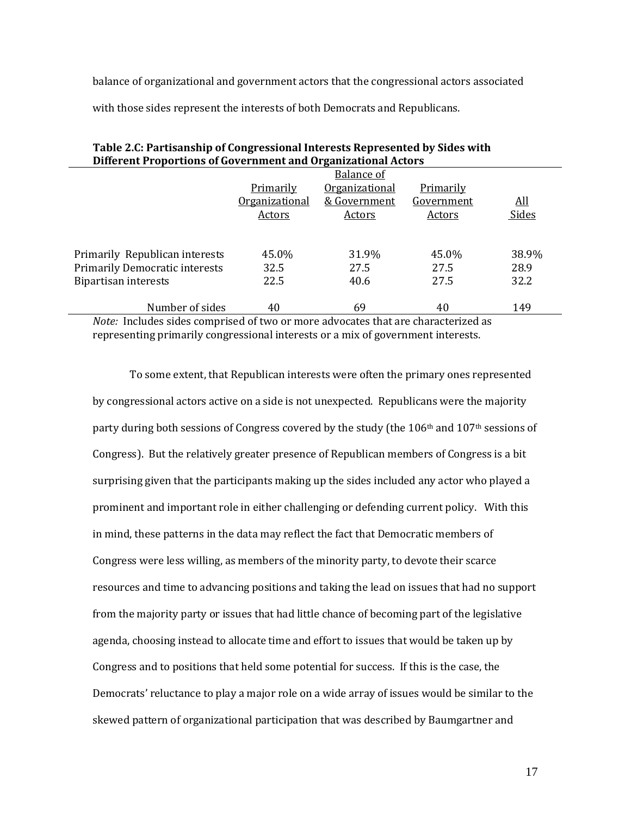balance of organizational and government actors that the congressional actors associated

with those sides represent the interests of both Democrats and Republicans.

| Dinerent Froportions of Government and Organizational Actors                                                                                                   |                       |                       |                                                                                                                                                                                                                                         |            |  |  |  |
|----------------------------------------------------------------------------------------------------------------------------------------------------------------|-----------------------|-----------------------|-----------------------------------------------------------------------------------------------------------------------------------------------------------------------------------------------------------------------------------------|------------|--|--|--|
|                                                                                                                                                                | Balance of            |                       |                                                                                                                                                                                                                                         |            |  |  |  |
|                                                                                                                                                                | <b>Primarily</b>      | <b>Organizational</b> | Primarily                                                                                                                                                                                                                               |            |  |  |  |
|                                                                                                                                                                | <b>Organizational</b> | & Government          | <u>Government</u>                                                                                                                                                                                                                       | <u>All</u> |  |  |  |
|                                                                                                                                                                | Actors                | Actors                | Actors                                                                                                                                                                                                                                  | Sides      |  |  |  |
|                                                                                                                                                                |                       |                       |                                                                                                                                                                                                                                         |            |  |  |  |
|                                                                                                                                                                |                       |                       |                                                                                                                                                                                                                                         |            |  |  |  |
| Primarily Republican interests                                                                                                                                 | 45.0%                 | 31.9%                 | 45.0%                                                                                                                                                                                                                                   | 38.9%      |  |  |  |
| <b>Primarily Democratic interests</b>                                                                                                                          | 32.5                  | 27.5                  | 27.5                                                                                                                                                                                                                                    | 28.9       |  |  |  |
| Bipartisan interests                                                                                                                                           | 22.5                  | 40.6                  | 27.5                                                                                                                                                                                                                                    | 32.2       |  |  |  |
|                                                                                                                                                                |                       |                       |                                                                                                                                                                                                                                         |            |  |  |  |
| Number of sides<br>$M_{\odot}$ ( $I_{\odot}$ ) and $I_{\odot}$ ( $I_{\odot}$ ) and $I_{\odot}$ ( $I_{\odot}$ ) and $I_{\odot}$ ( $I_{\odot}$ ) and $I_{\odot}$ | 40                    | 69                    | 40<br>$\mathbf{A}$ . The contract of the contract of the contract of the contract of the contract of the contract of the contract of the contract of the contract of the contract of the contract of the contract of the contract of th | 149        |  |  |  |

| Table 2.C: Partisanship of Congressional Interests Represented by Sides with |
|------------------------------------------------------------------------------|
| Different Proportions of Government and Organizational Actors                |

*Note:* Includes sides comprised of two or more advocates that are characterized as representing primarily congressional interests or a mix of government interests.

To some extent, that Republican interests were often the primary ones represented by congressional actors active on a side is not unexpected. Republicans were the majority party during both sessions of Congress covered by the study (the  $106<sup>th</sup>$  and  $107<sup>th</sup>$  sessions of Congress). But the relatively greater presence of Republican members of Congress is a bit surprising given that the participants making up the sides included any actor who played a prominent and important role in either challenging or defending current policy. With this in mind, these patterns in the data may reflect the fact that Democratic members of Congress were less willing, as members of the minority party, to devote their scarce resources and time to advancing positions and taking the lead on issues that had no support from the majority party or issues that had little chance of becoming part of the legislative agenda, choosing instead to allocate time and effort to issues that would be taken up by Congress and to positions that held some potential for success. If this is the case, the Democrats' reluctance to play a major role on a wide array of issues would be similar to the skewed pattern of organizational participation that was described by Baumgartner and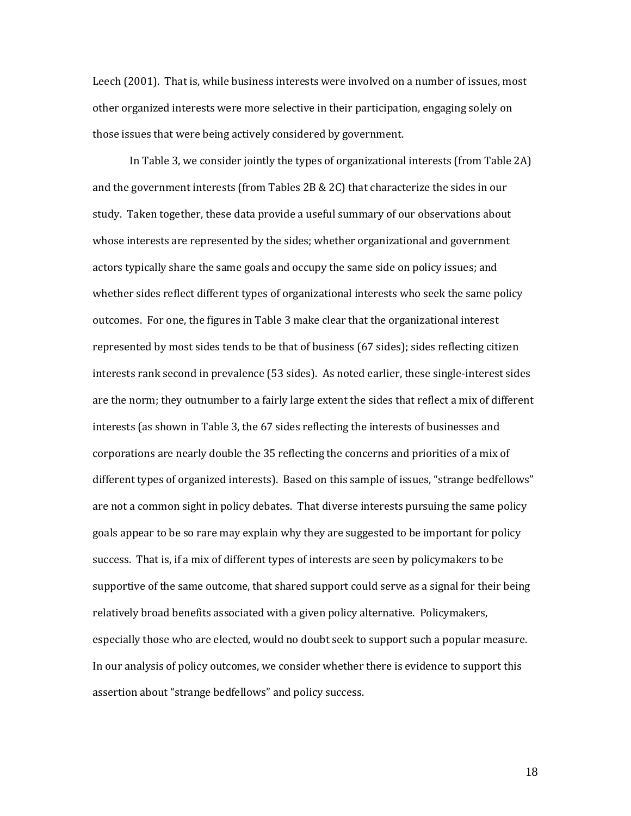Leech (2001). That is, while business interests were involved on a number of issues, most other organized interests were more selective in their participation, engaging solely on those issues that were being actively considered by government.

In Table 3, we consider jointly the types of organizational interests (from Table 2A) and the government interests (from Tables 2B & 2C) that characterize the sides in our study. Taken together, these data provide a useful summary of our observations about whose interests are represented by the sides; whether organizational and government actors typically share the same goals and occupy the same side on policy issues; and whether sides reflect different types of organizational interests who seek the same policy outcomes. For one, the figures in Table 3 make clear that the organizational interest represented by most sides tends to be that of business (67 sides); sides reflecting citizen interests rank second in prevalence (53 sides). As noted earlier, these single-interest sides are the norm; they outnumber to a fairly large extent the sides that reflect a mix of different interests (as shown in Table 3, the 67 sides reflecting the interests of businesses and corporations are nearly double the 35 reflecting the concerns and priorities of a mix of different types of organized interests). Based on this sample of issues, "strange bedfellows" are not a common sight in policy debates. That diverse interests pursuing the same policy goals appear to be so rare may explain why they are suggested to be important for policy success. That is, if a mix of different types of interests are seen by policymakers to be supportive of the same outcome, that shared support could serve as a signal for their being relatively broad benefits associated with a given policy alternative. Policymakers, especially those who are elected, would no doubt seek to support such a popular measure. In our analysis of policy outcomes, we consider whether there is evidence to support this assertion about "strange bedfellows" and policy success.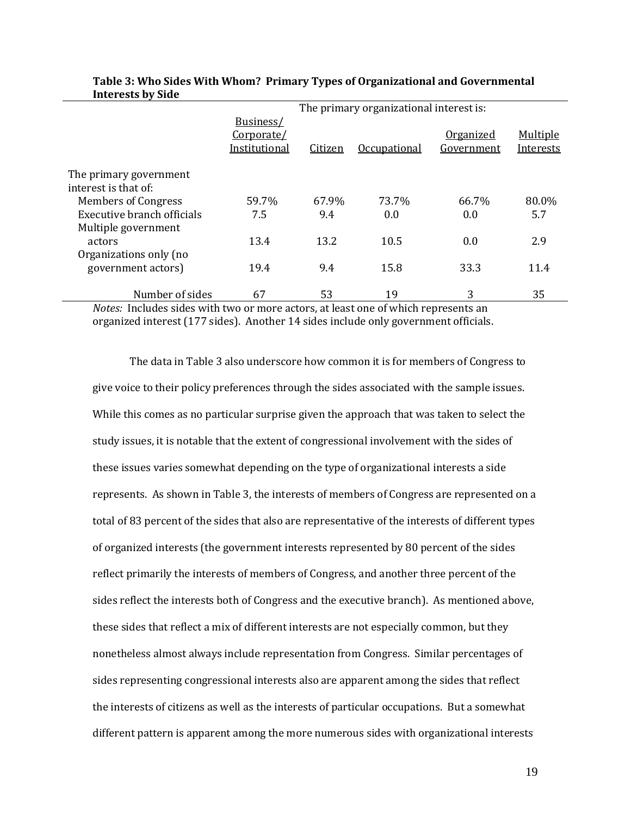|                                                | The primary organizational interest is:  |         |                     |                         |                       |  |
|------------------------------------------------|------------------------------------------|---------|---------------------|-------------------------|-----------------------|--|
|                                                | Business/<br>Corporate/<br>Institutional | Citizen | <b>Occupational</b> | Organized<br>Government | Multiple<br>Interests |  |
| The primary government<br>interest is that of: |                                          |         |                     |                         |                       |  |
| <b>Members of Congress</b>                     | 59.7%                                    | 67.9%   | 73.7%               | 66.7%                   | 80.0%                 |  |
| Executive branch officials                     | 7.5                                      | 9.4     | 0.0                 | 0.0                     | 5.7                   |  |
| Multiple government                            |                                          |         |                     |                         |                       |  |
| actors                                         | 13.4                                     | 13.2    | 10.5                | 0.0                     | 2.9                   |  |
| Organizations only (no                         |                                          |         |                     |                         |                       |  |
| government actors)                             | 19.4                                     | 9.4     | 15.8                | 33.3                    | 11.4                  |  |
| Number of sides                                | 67                                       | 53      | 19                  | 3                       | 35                    |  |

#### **Table 3: Who Sides With Whom? Primary Types of Organizational and Governmental Interests by Side**

*Notes:* Includes sides with two or more actors, at least one of which represents an organized interest (177 sides). Another 14 sides include only government officials.

The data in Table 3 also underscore how common it is for members of Congress to give voice to their policy preferences through the sides associated with the sample issues. While this comes as no particular surprise given the approach that was taken to select the study issues, it is notable that the extent of congressional involvement with the sides of these issues varies somewhat depending on the type of organizational interests a side represents. As shown in Table 3, the interests of members of Congress are represented on a total of 83 percent of the sides that also are representative of the interests of different types of organized interests (the government interests represented by 80 percent of the sides reflect primarily the interests of members of Congress, and another three percent of the sides reflect the interests both of Congress and the executive branch). As mentioned above, these sides that reflect a mix of different interests are not especially common, but they nonetheless almost always include representation from Congress. Similar percentages of sides representing congressional interests also are apparent among the sides that reflect the interests of citizens as well as the interests of particular occupations. But a somewhat different pattern is apparent among the more numerous sides with organizational interests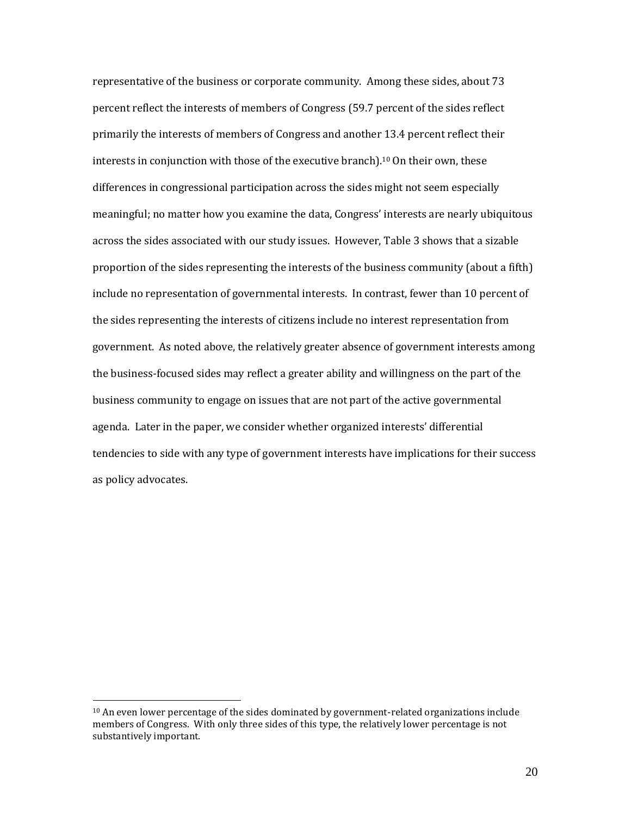representative of the business or corporate community. Among these sides, about 73 percent reflect the interests of members of Congress (59.7 percent of the sides reflect primarily the interests of members of Congress and another 13.4 percent reflect their interests in conjunction with those of the executive branch). <sup>10</sup> On their own, these differences in congressional participation across the sides might not seem especially meaningful; no matter how you examine the data, Congress' interests are nearly ubiquitous across the sides associated with our study issues. However, Table 3 shows that a sizable proportion of the sides representing the interests of the business community (about a fifth) include no representation of governmental interests. In contrast, fewer than 10 percent of the sides representing the interests of citizens include no interest representation from government. As noted above, the relatively greater absence of government interests among the business-focused sides may reflect a greater ability and willingness on the part of the business community to engage on issues that are not part of the active governmental agenda. Later in the paper, we consider whether organized interests' differential tendencies to side with any type of government interests have implications for their success as policy advocates.

 $10$  An even lower percentage of the sides dominated by government-related organizations include members of Congress. With only three sides of this type, the relatively lower percentage is not substantively important.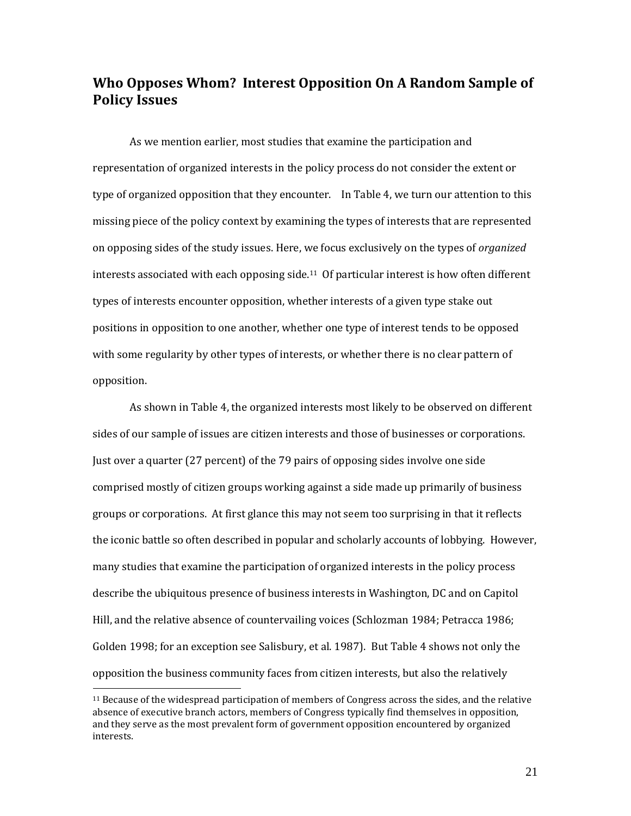# **Who Opposes Whom? Interest Opposition On A Random Sample of Policy Issues**

As we mention earlier, most studies that examine the participation and representation of organized interests in the policy process do not consider the extent or type of organized opposition that they encounter. In Table 4, we turn our attention to this missing piece of the policy context by examining the types of interests that are represented on opposing sides of the study issues. Here, we focus exclusively on the types of *organized* interests associated with each opposing side.<sup>11</sup> Of particular interest is how often different types of interests encounter opposition, whether interests of a given type stake out positions in opposition to one another, whether one type of interest tends to be opposed with some regularity by other types of interests, or whether there is no clear pattern of opposition.

As shown in Table 4, the organized interests most likely to be observed on different sides of our sample of issues are citizen interests and those of businesses or corporations. Just over a quarter (27 percent) of the 79 pairs of opposing sides involve one side comprised mostly of citizen groups working against a side made up primarily of business groups or corporations. At first glance this may not seem too surprising in that it reflects the iconic battle so often described in popular and scholarly accounts of lobbying. However, many studies that examine the participation of organized interests in the policy process describe the ubiquitous presence of business interests in Washington, DC and on Capitol Hill, and the relative absence of countervailing voices (Schlozman 1984; Petracca 1986; Golden 1998; for an exception see Salisbury, et al. 1987). But Table 4 shows not only the opposition the business community faces from citizen interests, but also the relatively

<sup>11</sup> Because of the widespread participation of members of Congress across the sides, and the relative absence of executive branch actors, members of Congress typically find themselves in opposition, and they serve as the most prevalent form of government opposition encountered by organized interests.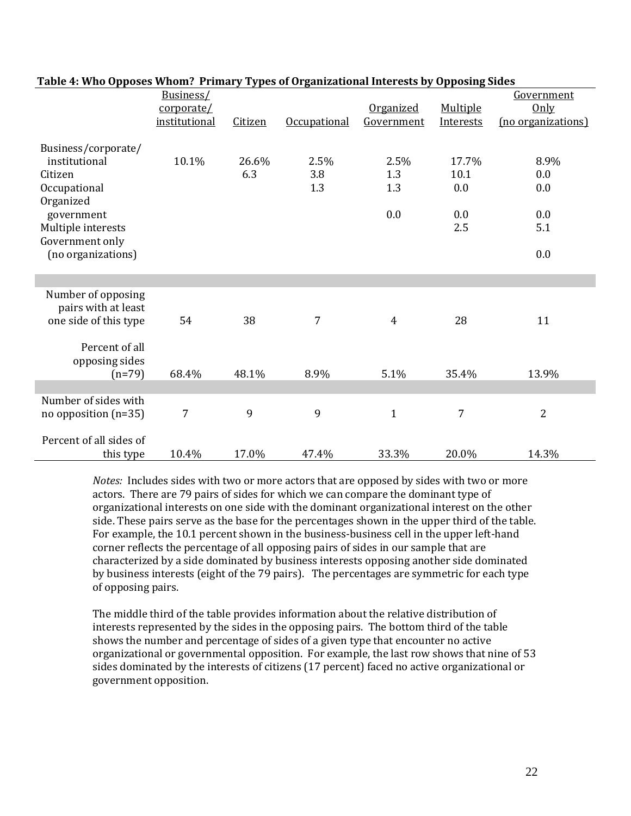| галіс т. мію бррозся міюші: тітшагу турся бі бі gamzaubhai micrests by бррозінд энеся |               |         |                     |                  |           |                    |
|---------------------------------------------------------------------------------------|---------------|---------|---------------------|------------------|-----------|--------------------|
|                                                                                       | Business/     |         |                     |                  |           | Government         |
|                                                                                       | corporate/    |         |                     | <b>Organized</b> | Multiple  | Only               |
|                                                                                       | institutional | Citizen | <b>Occupational</b> | Government       | Interests | (no organizations) |
|                                                                                       |               |         |                     |                  |           |                    |
| Business/corporate/                                                                   |               |         |                     |                  |           |                    |
| institutional                                                                         | 10.1%         | 26.6%   | 2.5%                | 2.5%             | 17.7%     | 8.9%               |
| Citizen                                                                               |               | 6.3     | 3.8                 | 1.3              | 10.1      | 0.0                |
| Occupational                                                                          |               |         | 1.3                 | 1.3              | 0.0       | 0.0                |
| Organized                                                                             |               |         |                     |                  |           |                    |
| government                                                                            |               |         |                     | 0.0              | 0.0       | 0.0                |
| Multiple interests                                                                    |               |         |                     |                  | 2.5       | 5.1                |
| Government only                                                                       |               |         |                     |                  |           |                    |
| (no organizations)                                                                    |               |         |                     |                  |           | 0.0                |
|                                                                                       |               |         |                     |                  |           |                    |
|                                                                                       |               |         |                     |                  |           |                    |
| Number of opposing                                                                    |               |         |                     |                  |           |                    |
| pairs with at least                                                                   |               |         |                     |                  |           |                    |
| one side of this type                                                                 | 54            | 38      | 7                   | 4                | 28        | 11                 |
|                                                                                       |               |         |                     |                  |           |                    |
| Percent of all                                                                        |               |         |                     |                  |           |                    |
| opposing sides                                                                        |               |         |                     |                  |           |                    |
| $(n=79)$                                                                              | 68.4%         | 48.1%   | 8.9%                | 5.1%             | 35.4%     | 13.9%              |
|                                                                                       |               |         |                     |                  |           |                    |
| Number of sides with                                                                  |               |         |                     |                  |           |                    |
| no opposition $(n=35)$                                                                | 7             | 9       | 9                   | $\mathbf{1}$     | 7         | $\overline{2}$     |
|                                                                                       |               |         |                     |                  |           |                    |
| Percent of all sides of                                                               |               |         |                     |                  |           |                    |
| this type                                                                             | 10.4%         | 17.0%   | 47.4%               | 33.3%            | 20.0%     | 14.3%              |

### **Table 4: Who Opposes Whom? Primary Types of Organizational Interests by Opposing Sides**

*Notes:* Includes sides with two or more actors that are opposed by sides with two or more actors. There are 79 pairs of sides for which we can compare the dominant type of organizational interests on one side with the dominant organizational interest on the other side. These pairs serve as the base for the percentages shown in the upper third of the table. For example, the 10.1 percent shown in the business-business cell in the upper left-hand corner reflects the percentage of all opposing pairs of sides in our sample that are characterized by a side dominated by business interests opposing another side dominated by business interests (eight of the 79 pairs). The percentages are symmetric for each type of opposing pairs.

The middle third of the table provides information about the relative distribution of interests represented by the sides in the opposing pairs. The bottom third of the table shows the number and percentage of sides of a given type that encounter no active organizational or governmental opposition. For example, the last row shows that nine of 53 sides dominated by the interests of citizens (17 percent) faced no active organizational or government opposition.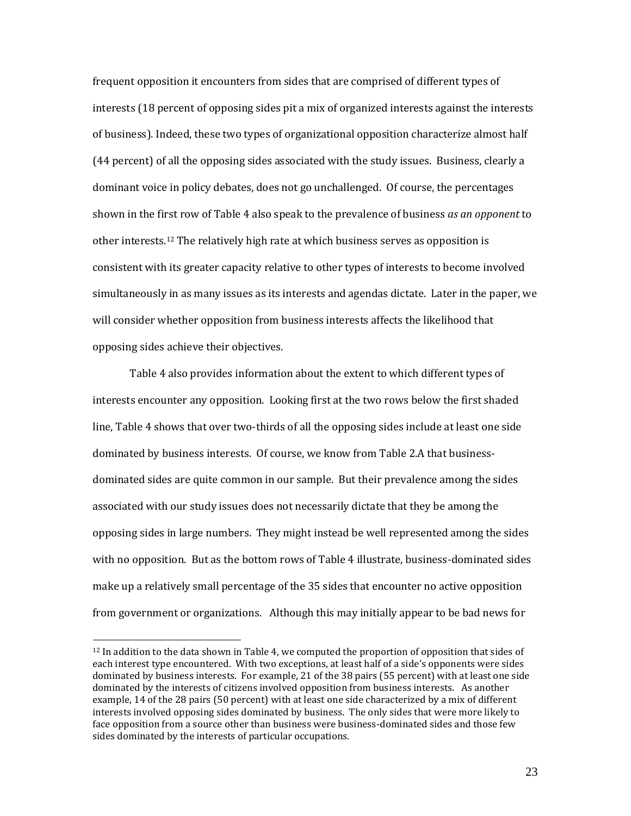frequent opposition it encounters from sides that are comprised of different types of interests (18 percent of opposing sides pit a mix of organized interests against the interests of business). Indeed, these two types of organizational opposition characterize almost half (44 percent) of all the opposing sides associated with the study issues. Business, clearly a dominant voice in policy debates, does not go unchallenged. Of course, the percentages shown in the first row of Table 4 also speak to the prevalence of business *as an opponent* to other interests.<sup>12</sup> The relatively high rate at which business serves as opposition is consistent with its greater capacity relative to other types of interests to become involved simultaneously in as many issues as its interests and agendas dictate. Later in the paper, we will consider whether opposition from business interests affects the likelihood that opposing sides achieve their objectives.

Table 4 also provides information about the extent to which different types of interests encounter any opposition. Looking first at the two rows below the first shaded line, Table 4 shows that over two-thirds of all the opposing sides include at least one side dominated by business interests. Of course, we know from Table 2.A that businessdominated sides are quite common in our sample. But their prevalence among the sides associated with our study issues does not necessarily dictate that they be among the opposing sides in large numbers. They might instead be well represented among the sides with no opposition. But as the bottom rows of Table 4 illustrate, business-dominated sides make up a relatively small percentage of the 35 sides that encounter no active opposition from government or organizations. Although this may initially appear to be bad news for

<sup>&</sup>lt;sup>12</sup> In addition to the data shown in Table 4, we computed the proportion of opposition that sides of each interest type encountered. With two exceptions, at least half of a side's opponents were sides dominated by business interests. For example, 21 of the 38 pairs (55 percent) with at least one side dominated by the interests of citizens involved opposition from business interests. As another example, 14 of the 28 pairs (50 percent) with at least one side characterized by a mix of different interests involved opposing sides dominated by business. The only sides that were more likely to face opposition from a source other than business were business-dominated sides and those few sides dominated by the interests of particular occupations.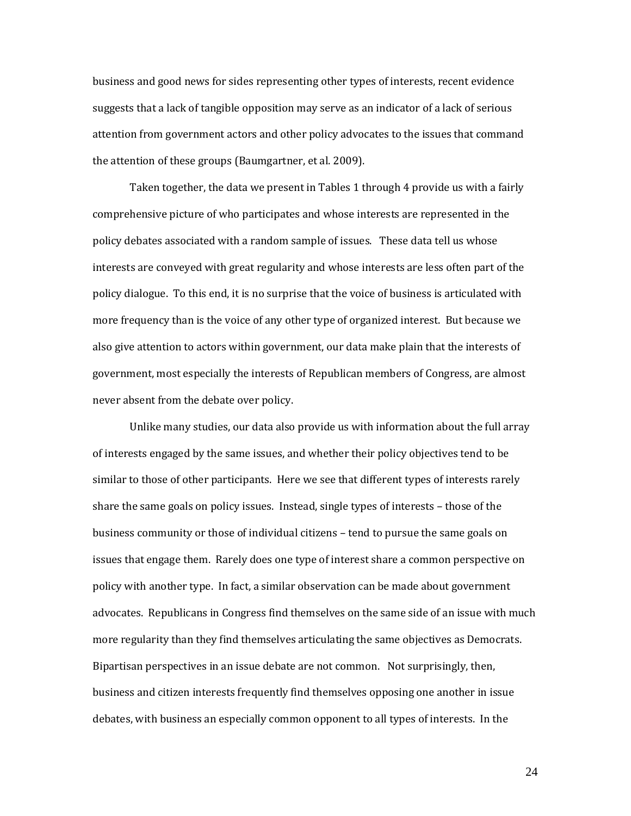business and good news for sides representing other types of interests, recent evidence suggests that a lack of tangible opposition may serve as an indicator of a lack of serious attention from government actors and other policy advocates to the issues that command the attention of these groups (Baumgartner, et al. 2009).

Taken together, the data we present in Tables 1 through 4 provide us with a fairly comprehensive picture of who participates and whose interests are represented in the policy debates associated with a random sample of issues. These data tell us whose interests are conveyed with great regularity and whose interests are less often part of the policy dialogue. To this end, it is no surprise that the voice of business is articulated with more frequency than is the voice of any other type of organized interest. But because we also give attention to actors within government, our data make plain that the interests of government, most especially the interests of Republican members of Congress, are almost never absent from the debate over policy.

Unlike many studies, our data also provide us with information about the full array of interests engaged by the same issues, and whether their policy objectives tend to be similar to those of other participants. Here we see that different types of interests rarely share the same goals on policy issues. Instead, single types of interests – those of the business community or those of individual citizens – tend to pursue the same goals on issues that engage them. Rarely does one type of interest share a common perspective on policy with another type. In fact, a similar observation can be made about government advocates. Republicans in Congress find themselves on the same side of an issue with much more regularity than they find themselves articulating the same objectives as Democrats. Bipartisan perspectives in an issue debate are not common. Not surprisingly, then, business and citizen interests frequently find themselves opposing one another in issue debates, with business an especially common opponent to all types of interests. In the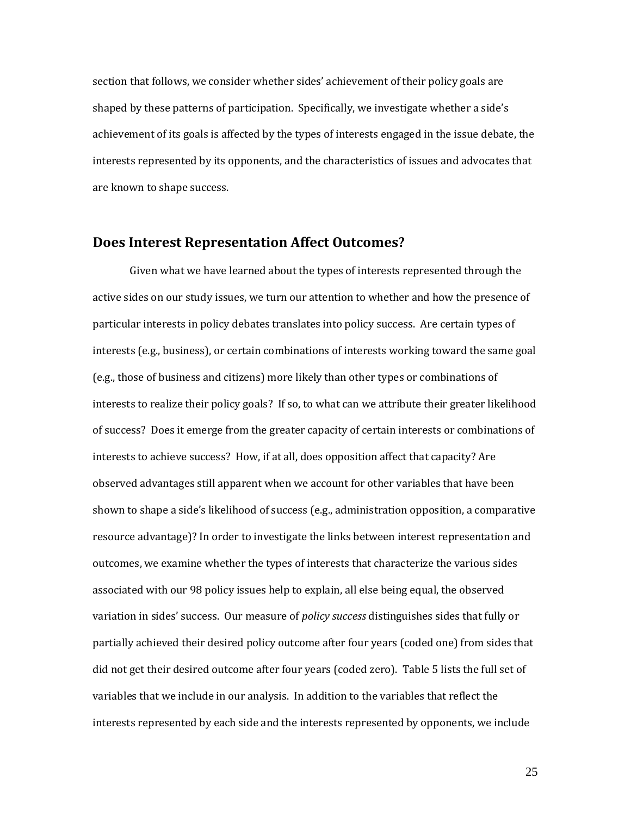section that follows, we consider whether sides' achievement of their policy goals are shaped by these patterns of participation. Specifically, we investigate whether a side's achievement of its goals is affected by the types of interests engaged in the issue debate, the interests represented by its opponents, and the characteristics of issues and advocates that are known to shape success.

### **Does Interest Representation Affect Outcomes?**

Given what we have learned about the types of interests represented through the active sides on our study issues, we turn our attention to whether and how the presence of particular interests in policy debates translates into policy success. Are certain types of interests (e.g., business), or certain combinations of interests working toward the same goal (e.g., those of business and citizens) more likely than other types or combinations of interests to realize their policy goals? If so, to what can we attribute their greater likelihood of success? Does it emerge from the greater capacity of certain interests or combinations of interests to achieve success? How, if at all, does opposition affect that capacity? Are observed advantages still apparent when we account for other variables that have been shown to shape a side's likelihood of success (e.g., administration opposition, a comparative resource advantage)? In order to investigate the links between interest representation and outcomes, we examine whether the types of interests that characterize the various sides associated with our 98 policy issues help to explain, all else being equal, the observed variation in sides' success. Our measure of *policy success* distinguishes sides that fully or partially achieved their desired policy outcome after four years (coded one) from sides that did not get their desired outcome after four years (coded zero). Table 5 lists the full set of variables that we include in our analysis. In addition to the variables that reflect the interests represented by each side and the interests represented by opponents, we include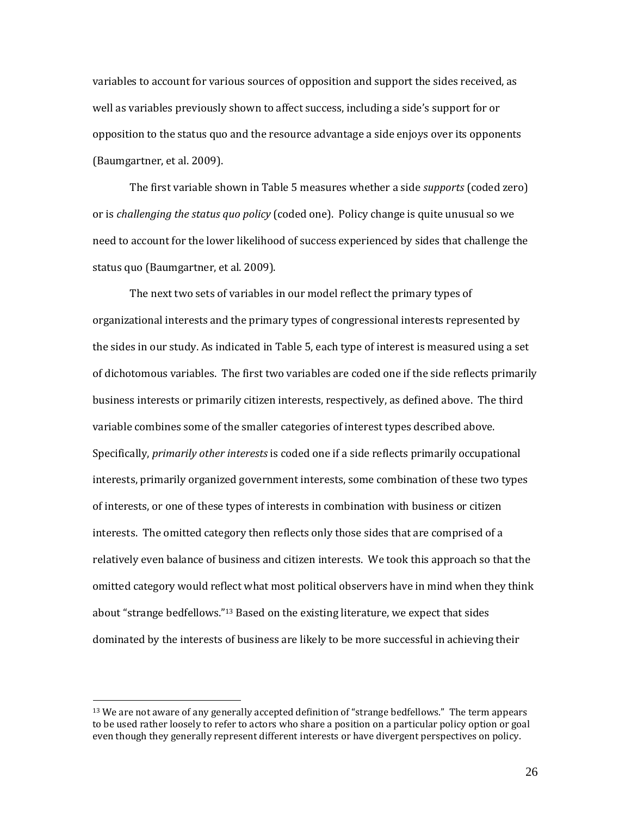variables to account for various sources of opposition and support the sides received, as well as variables previously shown to affect success, including a side's support for or opposition to the status quo and the resource advantage a side enjoys over its opponents (Baumgartner, et al. 2009).

The first variable shown in Table 5 measures whether a side *supports* (coded zero) or is *challenging the status quo policy* (coded one). Policy change is quite unusual so we need to account for the lower likelihood of success experienced by sides that challenge the status quo (Baumgartner, et al. 2009).

The next two sets of variables in our model reflect the primary types of organizational interests and the primary types of congressional interests represented by the sides in our study. As indicated in Table 5, each type of interest is measured using a set of dichotomous variables. The first two variables are coded one if the side reflects primarily business interests or primarily citizen interests, respectively, as defined above. The third variable combines some of the smaller categories of interest types described above. Specifically, *primarily other interests* is coded one if a side reflects primarily occupational interests, primarily organized government interests, some combination of these two types of interests, or one of these types of interests in combination with business or citizen interests. The omitted category then reflects only those sides that are comprised of a relatively even balance of business and citizen interests. We took this approach so that the omitted category would reflect what most political observers have in mind when they think about "strange bedfellows."<sup>13</sup> Based on the existing literature, we expect that sides dominated by the interests of business are likely to be more successful in achieving their

<sup>&</sup>lt;sup>13</sup> We are not aware of any generally accepted definition of "strange bedfellows." The term appears to be used rather loosely to refer to actors who share a position on a particular policy option or goal even though they generally represent different interests or have divergent perspectives on policy.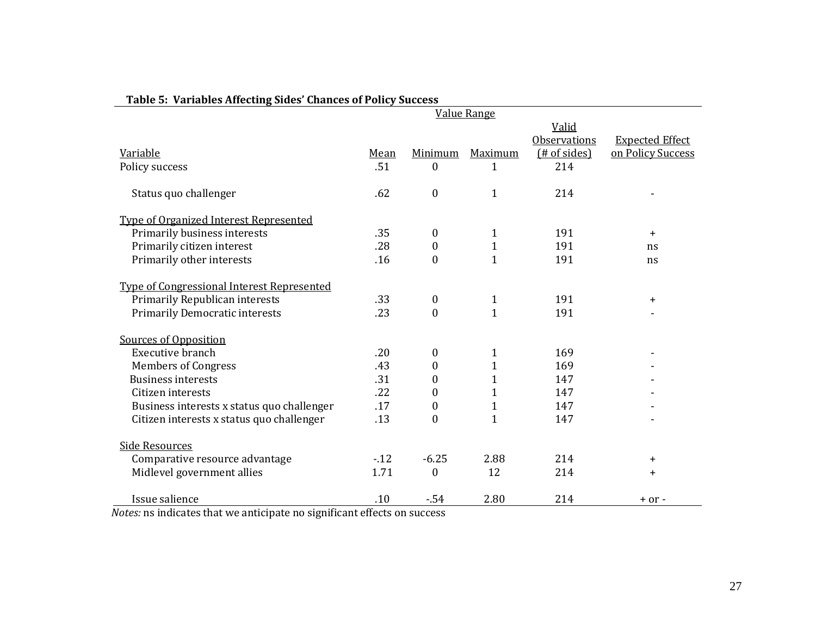|                                            |        |                  | <b>Value Range</b> |                       |                        |
|--------------------------------------------|--------|------------------|--------------------|-----------------------|------------------------|
|                                            |        |                  |                    | Valid                 |                        |
|                                            |        |                  |                    | <b>Observations</b>   | <b>Expected Effect</b> |
| Variable                                   | Mean   | Minimum          | Maximum            | ( <b># of sides</b> ) | on Policy Success      |
| Policy success                             | .51    | $\boldsymbol{0}$ | 1                  | 214                   |                        |
|                                            |        |                  |                    |                       |                        |
| Status quo challenger                      | .62    | $\mathbf{0}$     | $\mathbf{1}$       | 214                   |                        |
|                                            |        |                  |                    |                       |                        |
| Type of Organized Interest Represented     |        |                  |                    |                       |                        |
| Primarily business interests               | .35    | $\boldsymbol{0}$ | $\mathbf{1}$       | 191                   | $+$                    |
| Primarily citizen interest                 | .28    | $\boldsymbol{0}$ | $\overline{1}$     | 191                   | ns                     |
| Primarily other interests                  | .16    | $\mathbf{0}$     | $\mathbf{1}$       | 191                   | ns                     |
|                                            |        |                  |                    |                       |                        |
| Type of Congressional Interest Represented |        |                  |                    |                       |                        |
| Primarily Republican interests             | .33    | $\boldsymbol{0}$ | $\mathbf{1}$       | 191                   | $\ddot{}$              |
| <b>Primarily Democratic interests</b>      | .23    | $\boldsymbol{0}$ | $\mathbf{1}$       | 191                   |                        |
| Sources of Opposition                      |        |                  |                    |                       |                        |
| Executive branch                           | .20    | $\bf{0}$         | 1                  | 169                   |                        |
| <b>Members of Congress</b>                 | .43    | $\theta$         | $\mathbf{1}$       | 169                   |                        |
| <b>Business interests</b>                  | .31    | 0                | $\mathbf{1}$       | 147                   |                        |
| Citizen interests                          | .22    | 0                | $\mathbf{1}$       | 147                   |                        |
| Business interests x status quo challenger | .17    | $\boldsymbol{0}$ | $\mathbf{1}$       | 147                   |                        |
| Citizen interests x status quo challenger  | .13    | $\boldsymbol{0}$ | $\mathbf{1}$       | 147                   |                        |
|                                            |        |                  |                    |                       |                        |
| <b>Side Resources</b>                      |        |                  |                    |                       |                        |
| Comparative resource advantage             | $-.12$ | $-6.25$          | 2.88               | 214                   | $\ddot{}$              |
| Midlevel government allies                 | 1.71   | $\theta$         | 12                 | 214                   | $\ddot{}$              |
| Issue salience                             | .10    | $-54$            | 2.80               | 214                   | $+ or -$               |

## **Table 5: Variables Affecting Sides' Chances of Policy Success**

*Notes:* ns indicates that we anticipate no significant effects on success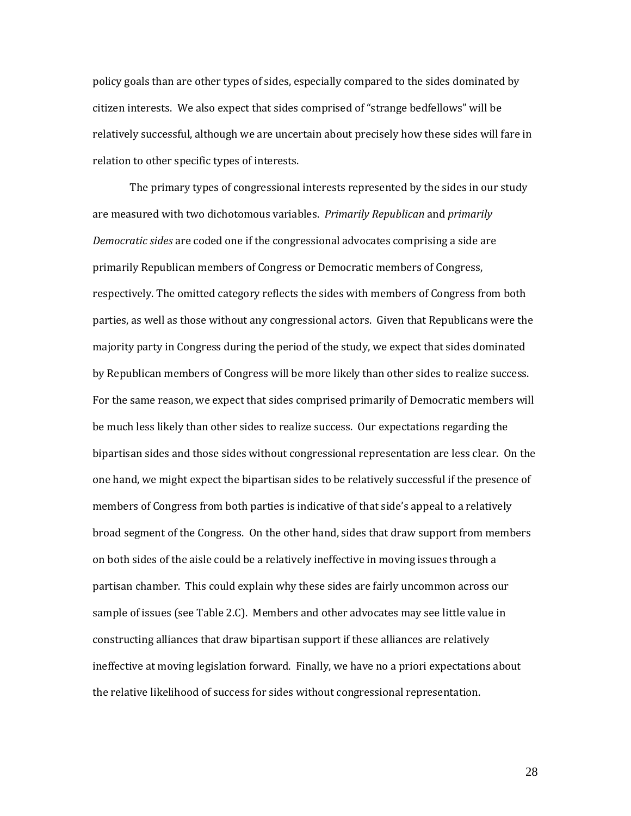policy goals than are other types of sides, especially compared to the sides dominated by citizen interests. We also expect that sides comprised of "strange bedfellows" will be relatively successful, although we are uncertain about precisely how these sides will fare in relation to other specific types of interests.

The primary types of congressional interests represented by the sides in our study are measured with two dichotomous variables. *Primarily Republican* and *primarily Democratic sides* are coded one if the congressional advocates comprising a side are primarily Republican members of Congress or Democratic members of Congress, respectively. The omitted category reflects the sides with members of Congress from both parties, as well as those without any congressional actors. Given that Republicans were the majority party in Congress during the period of the study, we expect that sides dominated by Republican members of Congress will be more likely than other sides to realize success. For the same reason, we expect that sides comprised primarily of Democratic members will be much less likely than other sides to realize success. Our expectations regarding the bipartisan sides and those sides without congressional representation are less clear. On the one hand, we might expect the bipartisan sides to be relatively successful if the presence of members of Congress from both parties is indicative of that side's appeal to a relatively broad segment of the Congress. On the other hand, sides that draw support from members on both sides of the aisle could be a relatively ineffective in moving issues through a partisan chamber. This could explain why these sides are fairly uncommon across our sample of issues (see Table 2.C). Members and other advocates may see little value in constructing alliances that draw bipartisan support if these alliances are relatively ineffective at moving legislation forward. Finally, we have no a priori expectations about the relative likelihood of success for sides without congressional representation.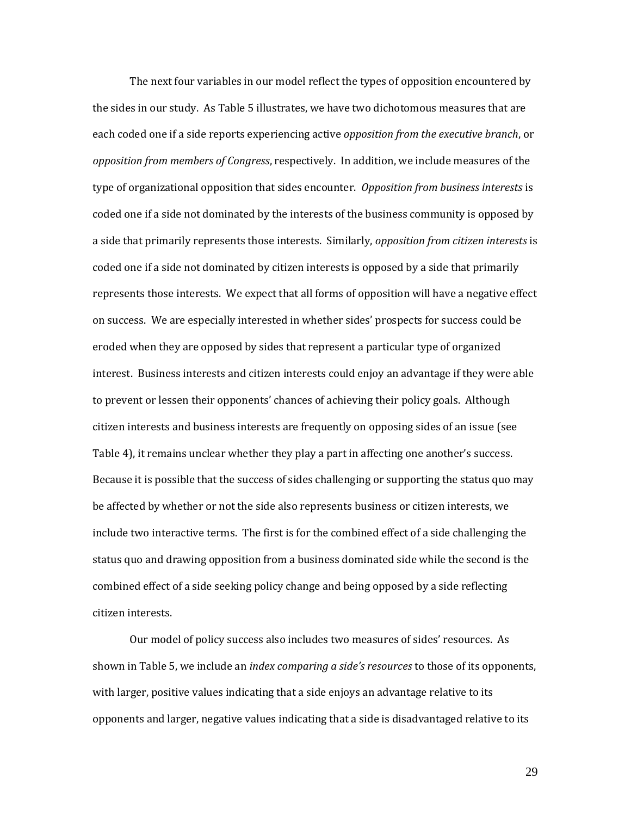The next four variables in our model reflect the types of opposition encountered by the sides in our study. As Table 5 illustrates, we have two dichotomous measures that are each coded one if a side reports experiencing active *opposition from the executive branch*, or *opposition from members of Congress*, respectively. In addition, we include measures of the type of organizational opposition that sides encounter. *Opposition from business interests* is coded one if a side not dominated by the interests of the business community is opposed by a side that primarily represents those interests. Similarly, *opposition from citizen interests* is coded one if a side not dominated by citizen interests is opposed by a side that primarily represents those interests. We expect that all forms of opposition will have a negative effect on success. We are especially interested in whether sides' prospects for success could be eroded when they are opposed by sides that represent a particular type of organized interest. Business interests and citizen interests could enjoy an advantage if they were able to prevent or lessen their opponents' chances of achieving their policy goals. Although citizen interests and business interests are frequently on opposing sides of an issue (see Table 4), it remains unclear whether they play a part in affecting one another's success. Because it is possible that the success of sides challenging or supporting the status quo may be affected by whether or not the side also represents business or citizen interests, we include two interactive terms. The first is for the combined effect of a side challenging the status quo and drawing opposition from a business dominated side while the second is the combined effect of a side seeking policy change and being opposed by a side reflecting citizen interests.

Our model of policy success also includes two measures of sides' resources. As shown in Table 5, we include an *index comparing a side's resources* to those of its opponents, with larger, positive values indicating that a side enjoys an advantage relative to its opponents and larger, negative values indicating that a side is disadvantaged relative to its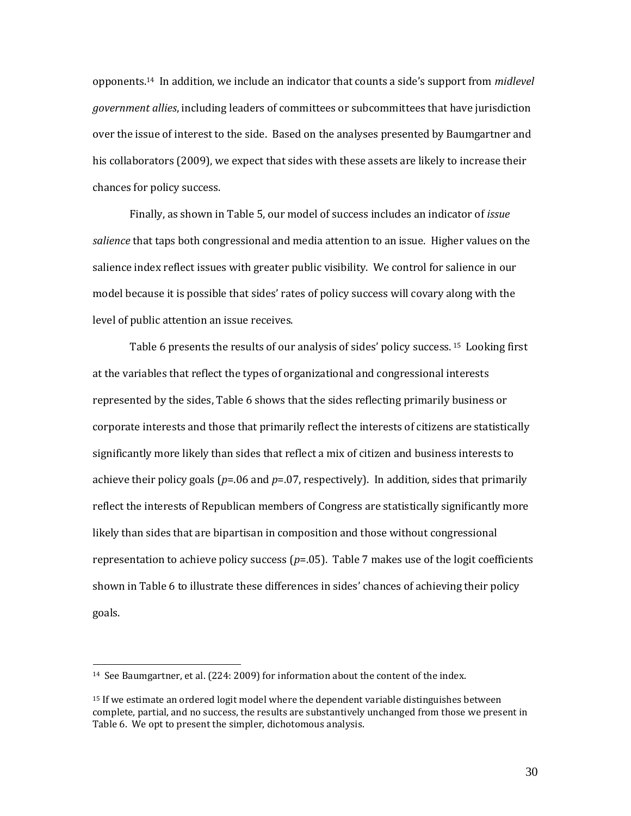opponents.<sup>14</sup> In addition, we include an indicator that counts a side's support from *midlevel government allies*, including leaders of committees or subcommittees that have jurisdiction over the issue of interest to the side. Based on the analyses presented by Baumgartner and his collaborators (2009), we expect that sides with these assets are likely to increase their chances for policy success.

Finally, as shown in Table 5, our model of success includes an indicator of *issue salience* that taps both congressional and media attention to an issue. Higher values on the salience index reflect issues with greater public visibility. We control for salience in our model because it is possible that sides' rates of policy success will covary along with the level of public attention an issue receives.

Table 6 presents the results of our analysis of sides' policy success. <sup>15</sup> Looking first at the variables that reflect the types of organizational and congressional interests represented by the sides, Table 6 shows that the sides reflecting primarily business or corporate interests and those that primarily reflect the interests of citizens are statistically significantly more likely than sides that reflect a mix of citizen and business interests to achieve their policy goals ( $p=06$  and  $p=07$ , respectively). In addition, sides that primarily reflect the interests of Republican members of Congress are statistically significantly more likely than sides that are bipartisan in composition and those without congressional representation to achieve policy success (*p*=.05). Table 7 makes use of the logit coefficients shown in Table 6 to illustrate these differences in sides' chances of achieving their policy goals.

 $\overline{a}$ 

<sup>14</sup> See Baumgartner, et al. (224: 2009) for information about the content of the index.

<sup>15</sup> If we estimate an ordered logit model where the dependent variable distinguishes between complete, partial, and no success, the results are substantively unchanged from those we present in Table 6. We opt to present the simpler, dichotomous analysis.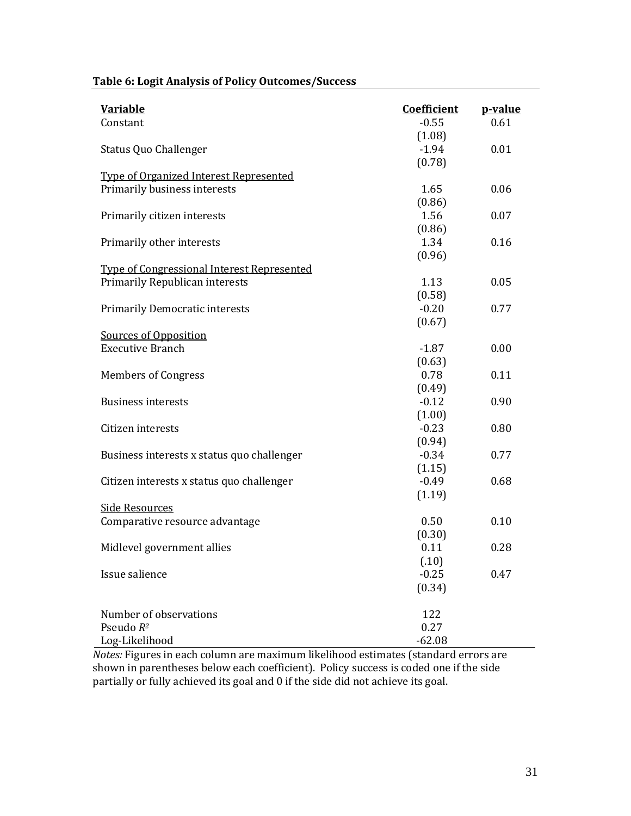| <b>Variable</b>                                                        | <b>Coefficient</b> | p-value |
|------------------------------------------------------------------------|--------------------|---------|
| Constant                                                               | $-0.55$            | 0.61    |
|                                                                        | (1.08)             |         |
| <b>Status Quo Challenger</b>                                           | $-1.94$            | 0.01    |
|                                                                        | (0.78)             |         |
| Type of Organized Interest Represented<br>Primarily business interests | 1.65               | 0.06    |
|                                                                        | (0.86)             |         |
| Primarily citizen interests                                            | 1.56               | 0.07    |
|                                                                        | (0.86)             |         |
| Primarily other interests                                              | 1.34               | 0.16    |
|                                                                        | (0.96)             |         |
| <b>Type of Congressional Interest Represented</b>                      |                    |         |
| Primarily Republican interests                                         | 1.13               | 0.05    |
|                                                                        | (0.58)             |         |
| <b>Primarily Democratic interests</b>                                  | $-0.20$            | 0.77    |
|                                                                        | (0.67)             |         |
| Sources of Opposition                                                  |                    |         |
| <b>Executive Branch</b>                                                | $-1.87$            | 0.00    |
|                                                                        | (0.63)             |         |
| <b>Members of Congress</b>                                             | 0.78               | 0.11    |
|                                                                        | (0.49)             |         |
| <b>Business interests</b>                                              | $-0.12$            | 0.90    |
|                                                                        | (1.00)             |         |
| Citizen interests                                                      | $-0.23$            | 0.80    |
|                                                                        | (0.94)             |         |
| Business interests x status quo challenger                             | $-0.34$            | 0.77    |
|                                                                        | (1.15)             |         |
| Citizen interests x status quo challenger                              | $-0.49$            | 0.68    |
|                                                                        | (1.19)             |         |
| <b>Side Resources</b>                                                  |                    |         |
| Comparative resource advantage                                         | 0.50               | 0.10    |
|                                                                        | (0.30)             |         |
| Midlevel government allies                                             | 0.11               | 0.28    |
|                                                                        | (.10)              |         |
| Issue salience                                                         | $-0.25$            | 0.47    |
|                                                                        | (0.34)             |         |
|                                                                        |                    |         |
| Number of observations                                                 | 122                |         |
| Pseudo R <sup>2</sup>                                                  | 0.27               |         |
| Log-Likelihood                                                         | $-62.08$           |         |

## **Table 6: Logit Analysis of Policy Outcomes/Success**

*Notes:* Figures in each column are maximum likelihood estimates (standard errors are shown in parentheses below each coefficient). Policy success is coded one if the side partially or fully achieved its goal and 0 if the side did not achieve its goal.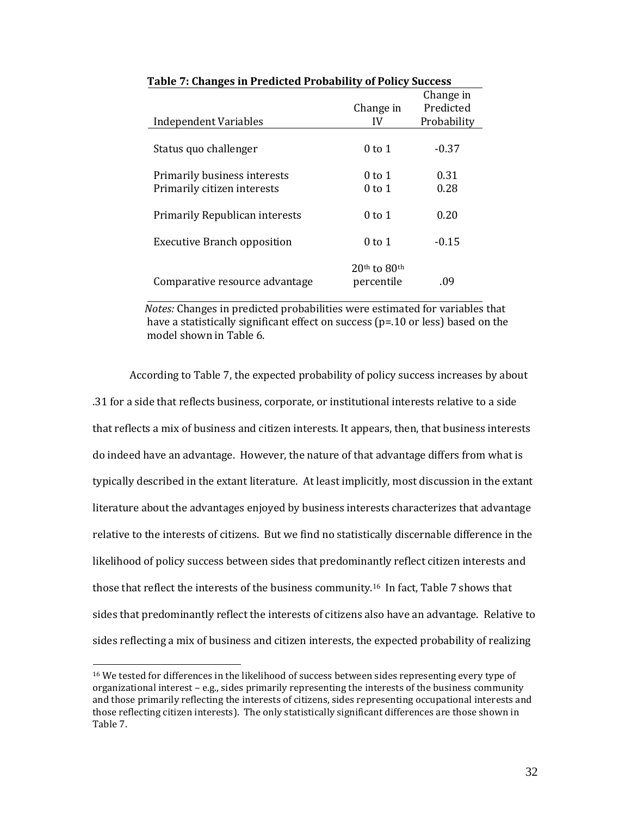| <b>Independent Variables</b>       | Change in<br>IV                | Change in<br>Predicted<br>Probability |
|------------------------------------|--------------------------------|---------------------------------------|
|                                    |                                |                                       |
| Status quo challenger              | $0$ to 1                       | $-0.37$                               |
| Primarily business interests       | $0$ to 1                       | 0.31                                  |
| Primarily citizen interests        | $0$ to 1                       | 0.28                                  |
| Primarily Republican interests     | $0$ to 1                       | 0.20                                  |
| <b>Executive Branch opposition</b> | $0$ to 1                       | $-0.15$                               |
| Comparative resource advantage     | $20th$ to $80th$<br>percentile | .09                                   |

 **Table 7: Changes in Predicted Probability of Policy Success**

 *Notes:* Changes in predicted probabilities were estimated for variables that have a statistically significant effect on success (p=.10 or less) based on the model shown in Table 6.

According to Table 7, the expected probability of policy success increases by about .31 for a side that reflects business, corporate, or institutional interests relative to a side that reflects a mix of business and citizen interests*.* It appears, then, that business interests do indeed have an advantage. However, the nature of that advantage differs from what is typically described in the extant literature. At least implicitly, most discussion in the extant literature about the advantages enjoyed by business interests characterizes that advantage relative to the interests of citizens. But we find no statistically discernable difference in the likelihood of policy success between sides that predominantly reflect citizen interests and those that reflect the interests of the business community.16 In fact, Table 7 shows that sides that predominantly reflect the interests of citizens also have an advantage. Relative to sides reflecting a mix of business and citizen interests, the expected probability of realizing

 $\overline{a}$ 

<sup>&</sup>lt;sup>16</sup> We tested for differences in the likelihood of success between sides representing every type of organizational interest – e.g., sides primarily representing the interests of the business community and those primarily reflecting the interests of citizens, sides representing occupational interests and those reflecting citizen interests). The only statistically significant differences are those shown in Table 7.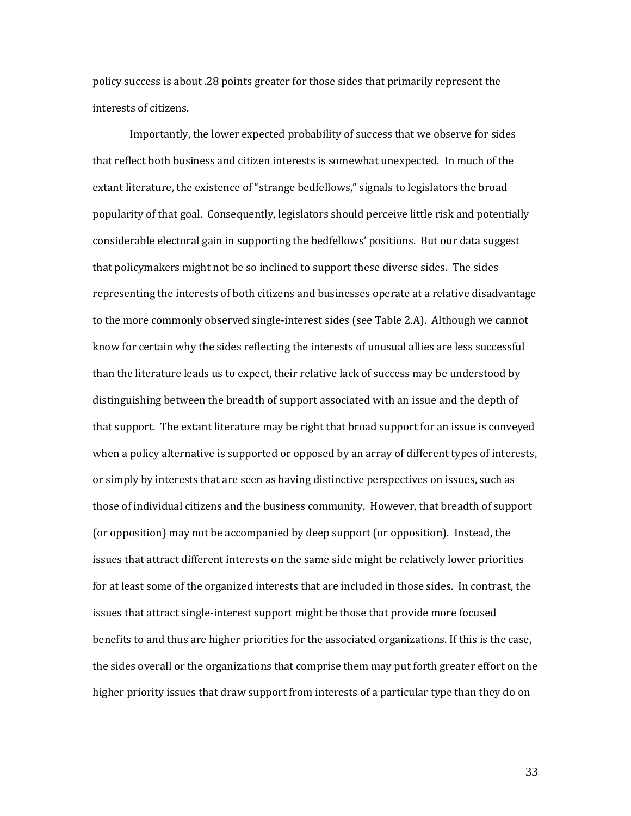policy success is about .28 points greater for those sides that primarily represent the interests of citizens.

Importantly, the lower expected probability of success that we observe for sides that reflect both business and citizen interests is somewhat unexpected. In much of the extant literature, the existence of "strange bedfellows," signals to legislators the broad popularity of that goal. Consequently, legislators should perceive little risk and potentially considerable electoral gain in supporting the bedfellows' positions. But our data suggest that policymakers might not be so inclined to support these diverse sides. The sides representing the interests of both citizens and businesses operate at a relative disadvantage to the more commonly observed single-interest sides (see Table 2.A). Although we cannot know for certain why the sides reflecting the interests of unusual allies are less successful than the literature leads us to expect, their relative lack of success may be understood by distinguishing between the breadth of support associated with an issue and the depth of that support. The extant literature may be right that broad support for an issue is conveyed when a policy alternative is supported or opposed by an array of different types of interests, or simply by interests that are seen as having distinctive perspectives on issues, such as those of individual citizens and the business community. However, that breadth of support (or opposition) may not be accompanied by deep support (or opposition). Instead, the issues that attract different interests on the same side might be relatively lower priorities for at least some of the organized interests that are included in those sides. In contrast, the issues that attract single-interest support might be those that provide more focused benefits to and thus are higher priorities for the associated organizations. If this is the case, the sides overall or the organizations that comprise them may put forth greater effort on the higher priority issues that draw support from interests of a particular type than they do on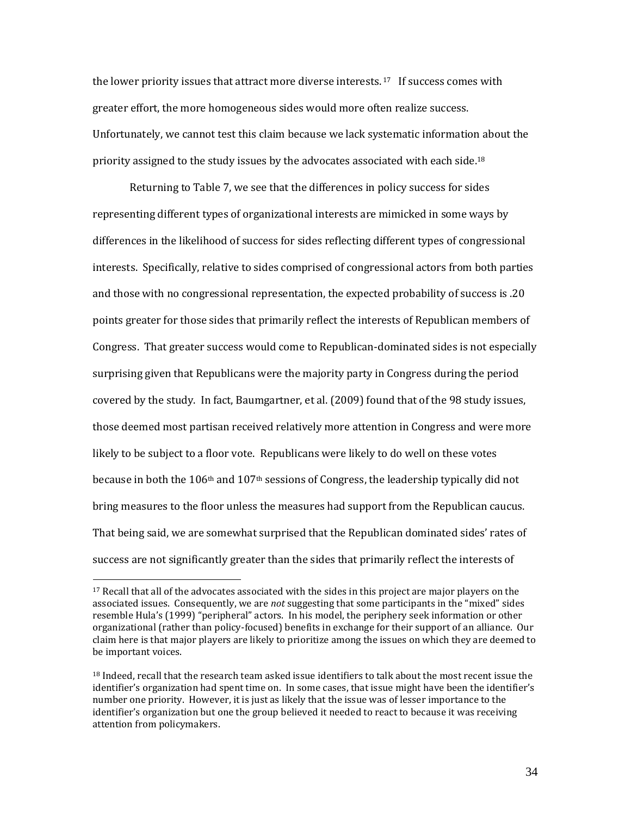the lower priority issues that attract more diverse interests.<sup>17</sup> If success comes with greater effort, the more homogeneous sides would more often realize success. Unfortunately, we cannot test this claim because we lack systematic information about the priority assigned to the study issues by the advocates associated with each side.<sup>18</sup>

Returning to Table 7, we see that the differences in policy success for sides representing different types of organizational interests are mimicked in some ways by differences in the likelihood of success for sides reflecting different types of congressional interests. Specifically, relative to sides comprised of congressional actors from both parties and those with no congressional representation, the expected probability of success is .20 points greater for those sides that primarily reflect the interests of Republican members of Congress. That greater success would come to Republican-dominated sides is not especially surprising given that Republicans were the majority party in Congress during the period covered by the study. In fact, Baumgartner, et al. (2009) found that of the 98 study issues, those deemed most partisan received relatively more attention in Congress and were more likely to be subject to a floor vote. Republicans were likely to do well on these votes because in both the 106<sup>th</sup> and 107<sup>th</sup> sessions of Congress, the leadership typically did not bring measures to the floor unless the measures had support from the Republican caucus. That being said, we are somewhat surprised that the Republican dominated sides' rates of success are not significantly greater than the sides that primarily reflect the interests of

 $\overline{\phantom{0}}$ 

<sup>&</sup>lt;sup>17</sup> Recall that all of the advocates associated with the sides in this project are major players on the associated issues. Consequently, we are *not* suggesting that some participants in the "mixed" sides resemble Hula's (1999) "peripheral" actors. In his model, the periphery seek information or other organizational (rather than policy-focused) benefits in exchange for their support of an alliance. Our claim here is that major players are likely to prioritize among the issues on which they are deemed to be important voices.

<sup>&</sup>lt;sup>18</sup> Indeed, recall that the research team asked issue identifiers to talk about the most recent issue the identifier's organization had spent time on. In some cases, that issue might have been the identifier's number one priority. However, it is just as likely that the issue was of lesser importance to the identifier's organization but one the group believed it needed to react to because it was receiving attention from policymakers.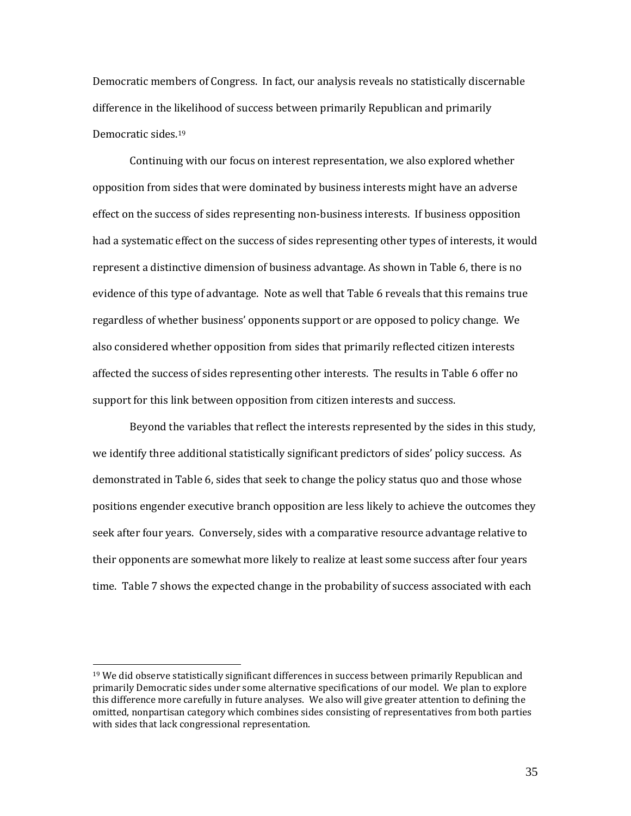Democratic members of Congress. In fact, our analysis reveals no statistically discernable difference in the likelihood of success between primarily Republican and primarily Democratic sides.<sup>19</sup>

Continuing with our focus on interest representation, we also explored whether opposition from sides that were dominated by business interests might have an adverse effect on the success of sides representing non-business interests. If business opposition had a systematic effect on the success of sides representing other types of interests, it would represent a distinctive dimension of business advantage. As shown in Table 6, there is no evidence of this type of advantage. Note as well that Table 6 reveals that this remains true regardless of whether business' opponents support or are opposed to policy change. We also considered whether opposition from sides that primarily reflected citizen interests affected the success of sides representing other interests. The results in Table 6 offer no support for this link between opposition from citizen interests and success.

Beyond the variables that reflect the interests represented by the sides in this study, we identify three additional statistically significant predictors of sides' policy success. As demonstrated in Table 6, sides that seek to change the policy status quo and those whose positions engender executive branch opposition are less likely to achieve the outcomes they seek after four years. Conversely, sides with a comparative resource advantage relative to their opponents are somewhat more likely to realize at least some success after four years time. Table 7 shows the expected change in the probability of success associated with each

 $\overline{a}$ 

 $19$  We did observe statistically significant differences in success between primarily Republican and primarily Democratic sides under some alternative specifications of our model. We plan to explore this difference more carefully in future analyses. We also will give greater attention to defining the omitted, nonpartisan category which combines sides consisting of representatives from both parties with sides that lack congressional representation.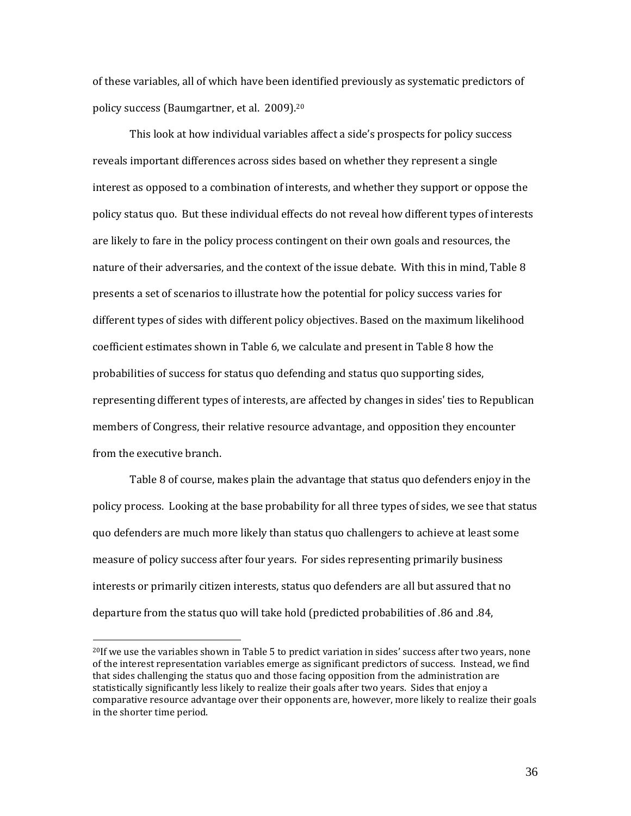of these variables, all of which have been identified previously as systematic predictors of policy success (Baumgartner, et al. 2009).<sup>20</sup>

This look at how individual variables affect a side's prospects for policy success reveals important differences across sides based on whether they represent a single interest as opposed to a combination of interests, and whether they support or oppose the policy status quo. But these individual effects do not reveal how different types of interests are likely to fare in the policy process contingent on their own goals and resources, the nature of their adversaries, and the context of the issue debate. With this in mind, Table 8 presents a set of scenarios to illustrate how the potential for policy success varies for different types of sides with different policy objectives. Based on the maximum likelihood coefficient estimates shown in Table 6, we calculate and present in Table 8 how the probabilities of success for status quo defending and status quo supporting sides, representing different types of interests, are affected by changes in sides' ties to Republican members of Congress, their relative resource advantage, and opposition they encounter from the executive branch.

Table 8 of course, makes plain the advantage that status quo defenders enjoy in the policy process. Looking at the base probability for all three types of sides, we see that status quo defenders are much more likely than status quo challengers to achieve at least some measure of policy success after four years. For sides representing primarily business interests or primarily citizen interests, status quo defenders are all but assured that no departure from the status quo will take hold (predicted probabilities of .86 and .84,

<sup>20</sup>If we use the variables shown in Table 5 to predict variation in sides' success after two years, none of the interest representation variables emerge as significant predictors of success. Instead, we find that sides challenging the status quo and those facing opposition from the administration are statistically significantly less likely to realize their goals after two years. Sides that enjoy a comparative resource advantage over their opponents are, however, more likely to realize their goals in the shorter time period.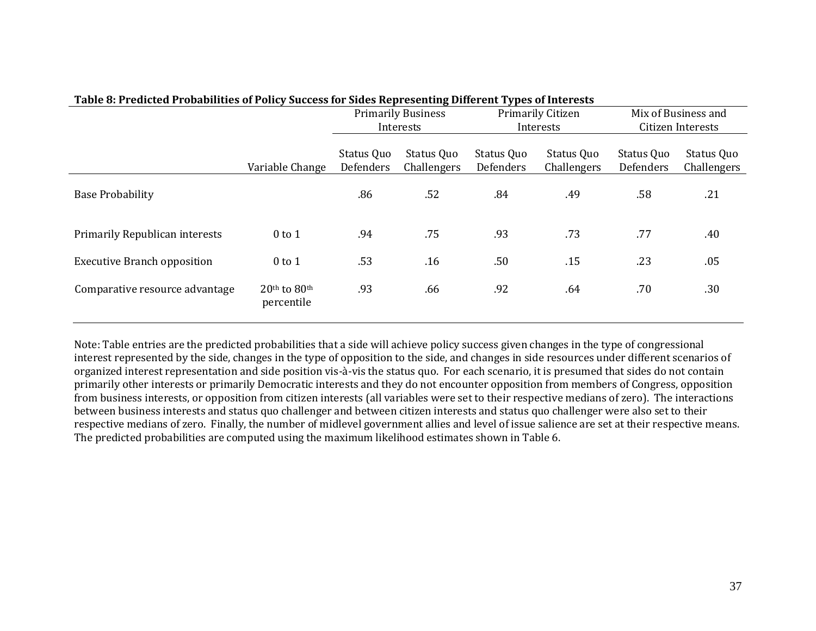| Table of Freueten Fromometes of Foney Success for Shiels hepresenting Different Types of interests |                            |                                        |                           |                                |                           |                                          |                           |
|----------------------------------------------------------------------------------------------------|----------------------------|----------------------------------------|---------------------------|--------------------------------|---------------------------|------------------------------------------|---------------------------|
|                                                                                                    |                            | <b>Primarily Business</b><br>Interests |                           | Primarily Citizen<br>Interests |                           | Mix of Business and<br>Citizen Interests |                           |
|                                                                                                    | Variable Change            | Status Quo<br>Defenders                | Status Quo<br>Challengers | Status Quo<br>Defenders        | Status Quo<br>Challengers | Status Quo<br>Defenders                  | Status Quo<br>Challengers |
| <b>Base Probability</b>                                                                            |                            | .86                                    | .52                       | .84                            | .49                       | .58                                      | .21                       |
| Primarily Republican interests                                                                     | $0$ to $1$                 | .94                                    | .75                       | .93                            | .73                       | .77                                      | .40                       |
| <b>Executive Branch opposition</b>                                                                 | $0$ to $1$                 | .53                                    | .16                       | .50                            | .15                       | .23                                      | .05                       |
| Comparative resource advantage                                                                     | 20th to 80th<br>percentile | .93                                    | .66                       | .92                            | .64                       | .70                                      | .30                       |

#### **Table 8: Predicted Probabilities of Policy Success for Sides Representing Different Types of Interests**

Note: Table entries are the predicted probabilities that a side will achieve policy success given changes in the type of congressional interest represented by the side, changes in the type of opposition to the side, and changes in side resources under different scenarios of organized interest representation and side position vis-à-vis the status quo. For each scenario, it is presumed that sides do not contain primarily other interests or primarily Democratic interests and they do not encounter opposition from members of Congress, opposition from business interests, or opposition from citizen interests (all variables were set to their respective medians of zero). The interactions between business interests and status quo challenger and between citizen interests and status quo challenger were also set to their respective medians of zero. Finally, the number of midlevel government allies and level of issue salience are set at their respective means. The predicted probabilities are computed using the maximum likelihood estimates shown in Table 6.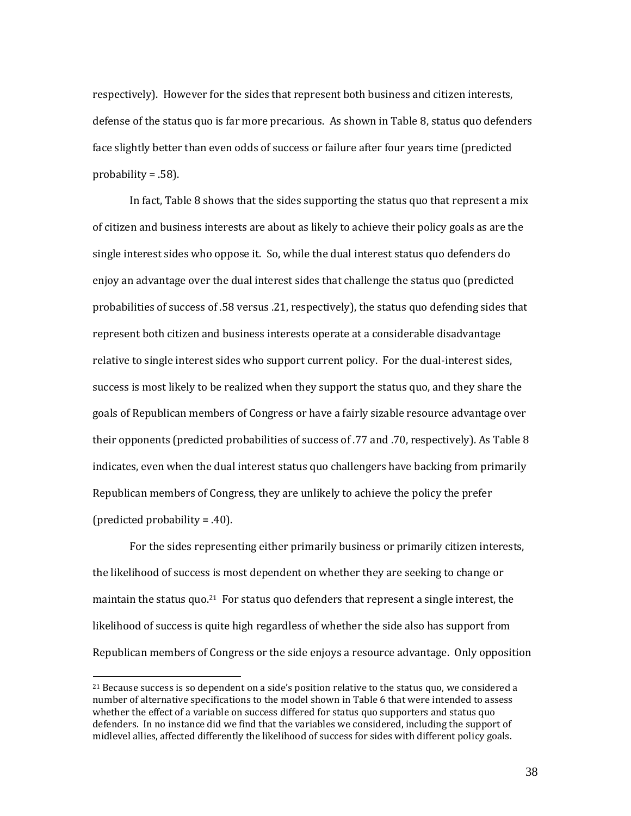respectively). However for the sides that represent both business and citizen interests, defense of the status quo is far more precarious. As shown in Table 8, status quo defenders face slightly better than even odds of success or failure after four years time (predicted probability  $= .58$ ).

In fact, Table 8 shows that the sides supporting the status quo that represent a mix of citizen and business interests are about as likely to achieve their policy goals as are the single interest sides who oppose it. So, while the dual interest status quo defenders do enjoy an advantage over the dual interest sides that challenge the status quo (predicted probabilities of success of .58 versus .21, respectively), the status quo defending sides that represent both citizen and business interests operate at a considerable disadvantage relative to single interest sides who support current policy. For the dual-interest sides, success is most likely to be realized when they support the status quo, and they share the goals of Republican members of Congress or have a fairly sizable resource advantage over their opponents (predicted probabilities of success of .77 and .70, respectively). As Table 8 indicates, even when the dual interest status quo challengers have backing from primarily Republican members of Congress, they are unlikely to achieve the policy the prefer (predicted probability = .40).

For the sides representing either primarily business or primarily citizen interests, the likelihood of success is most dependent on whether they are seeking to change or maintain the status quo.<sup>21</sup> For status quo defenders that represent a single interest, the likelihood of success is quite high regardless of whether the side also has support from Republican members of Congress or the side enjoys a resource advantage. Only opposition

 $\overline{\phantom{0}}$ 

 $21$  Because success is so dependent on a side's position relative to the status quo, we considered a number of alternative specifications to the model shown in Table 6 that were intended to assess whether the effect of a variable on success differed for status quo supporters and status quo defenders. In no instance did we find that the variables we considered, including the support of midlevel allies, affected differently the likelihood of success for sides with different policy goals.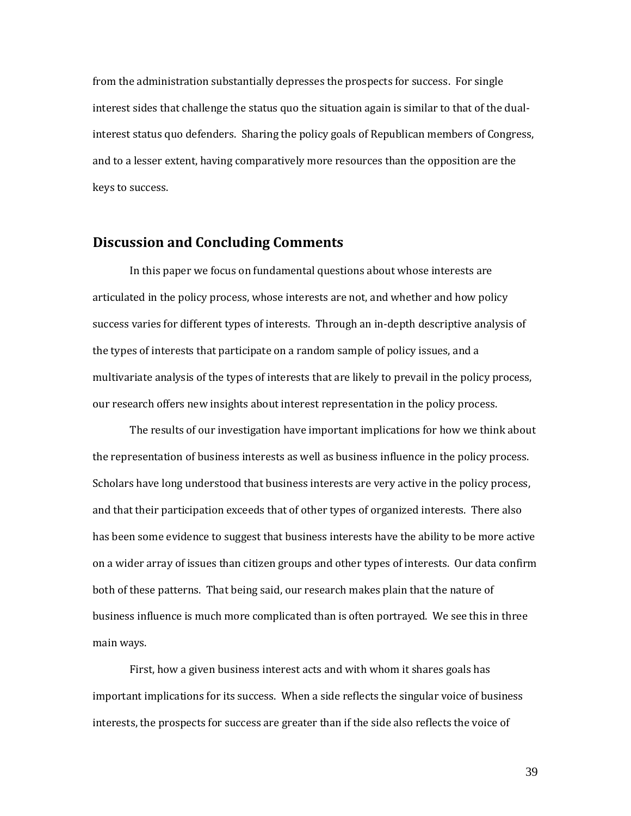from the administration substantially depresses the prospects for success. For single interest sides that challenge the status quo the situation again is similar to that of the dualinterest status quo defenders. Sharing the policy goals of Republican members of Congress, and to a lesser extent, having comparatively more resources than the opposition are the keys to success.

### **Discussion and Concluding Comments**

In this paper we focus on fundamental questions about whose interests are articulated in the policy process, whose interests are not, and whether and how policy success varies for different types of interests. Through an in-depth descriptive analysis of the types of interests that participate on a random sample of policy issues, and a multivariate analysis of the types of interests that are likely to prevail in the policy process, our research offers new insights about interest representation in the policy process.

The results of our investigation have important implications for how we think about the representation of business interests as well as business influence in the policy process. Scholars have long understood that business interests are very active in the policy process, and that their participation exceeds that of other types of organized interests. There also has been some evidence to suggest that business interests have the ability to be more active on a wider array of issues than citizen groups and other types of interests. Our data confirm both of these patterns. That being said, our research makes plain that the nature of business influence is much more complicated than is often portrayed. We see this in three main ways.

First, how a given business interest acts and with whom it shares goals has important implications for its success. When a side reflects the singular voice of business interests, the prospects for success are greater than if the side also reflects the voice of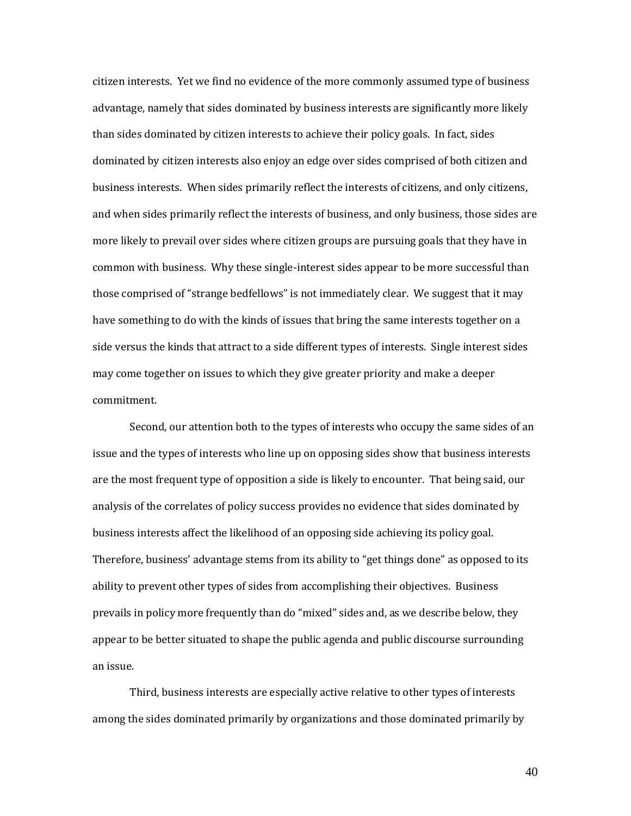citizen interests. Yet we find no evidence of the more commonly assumed type of business advantage, namely that sides dominated by business interests are significantly more likely than sides dominated by citizen interests to achieve their policy goals. In fact, sides dominated by citizen interests also enjoy an edge over sides comprised of both citizen and business interests. When sides primarily reflect the interests of citizens, and only citizens, and when sides primarily reflect the interests of business, and only business, those sides are more likely to prevail over sides where citizen groups are pursuing goals that they have in common with business. Why these single-interest sides appear to be more successful than those comprised of "strange bedfellows" is not immediately clear. We suggest that it may have something to do with the kinds of issues that bring the same interests together on a side versus the kinds that attract to a side different types of interests. Single interest sides may come together on issues to which they give greater priority and make a deeper commitment.

Second, our attention both to the types of interests who occupy the same sides of an issue and the types of interests who line up on opposing sides show that business interests are the most frequent type of opposition a side is likely to encounter. That being said, our analysis of the correlates of policy success provides no evidence that sides dominated by business interests affect the likelihood of an opposing side achieving its policy goal. Therefore, business' advantage stems from its ability to "get things done" as opposed to its ability to prevent other types of sides from accomplishing their objectives. Business prevails in policy more frequently than do "mixed" sides and, as we describe below, they appear to be better situated to shape the public agenda and public discourse surrounding an issue.

Third, business interests are especially active relative to other types of interests among the sides dominated primarily by organizations and those dominated primarily by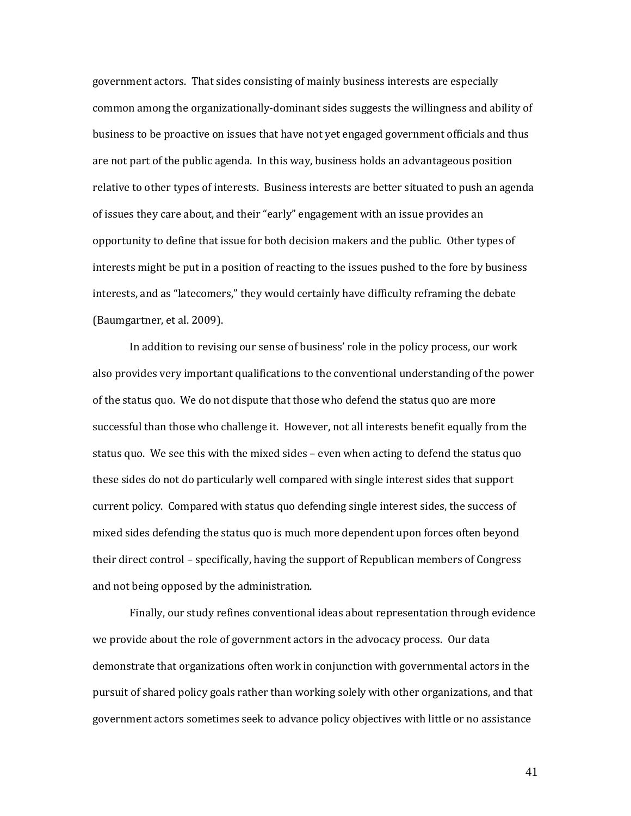government actors. That sides consisting of mainly business interests are especially common among the organizationally-dominant sides suggests the willingness and ability of business to be proactive on issues that have not yet engaged government officials and thus are not part of the public agenda. In this way, business holds an advantageous position relative to other types of interests. Business interests are better situated to push an agenda of issues they care about, and their "early" engagement with an issue provides an opportunity to define that issue for both decision makers and the public. Other types of interests might be put in a position of reacting to the issues pushed to the fore by business interests, and as "latecomers," they would certainly have difficulty reframing the debate (Baumgartner, et al. 2009).

In addition to revising our sense of business' role in the policy process, our work also provides very important qualifications to the conventional understanding of the power of the status quo. We do not dispute that those who defend the status quo are more successful than those who challenge it. However, not all interests benefit equally from the status quo. We see this with the mixed sides – even when acting to defend the status quo these sides do not do particularly well compared with single interest sides that support current policy. Compared with status quo defending single interest sides, the success of mixed sides defending the status quo is much more dependent upon forces often beyond their direct control – specifically, having the support of Republican members of Congress and not being opposed by the administration.

Finally, our study refines conventional ideas about representation through evidence we provide about the role of government actors in the advocacy process. Our data demonstrate that organizations often work in conjunction with governmental actors in the pursuit of shared policy goals rather than working solely with other organizations, and that government actors sometimes seek to advance policy objectives with little or no assistance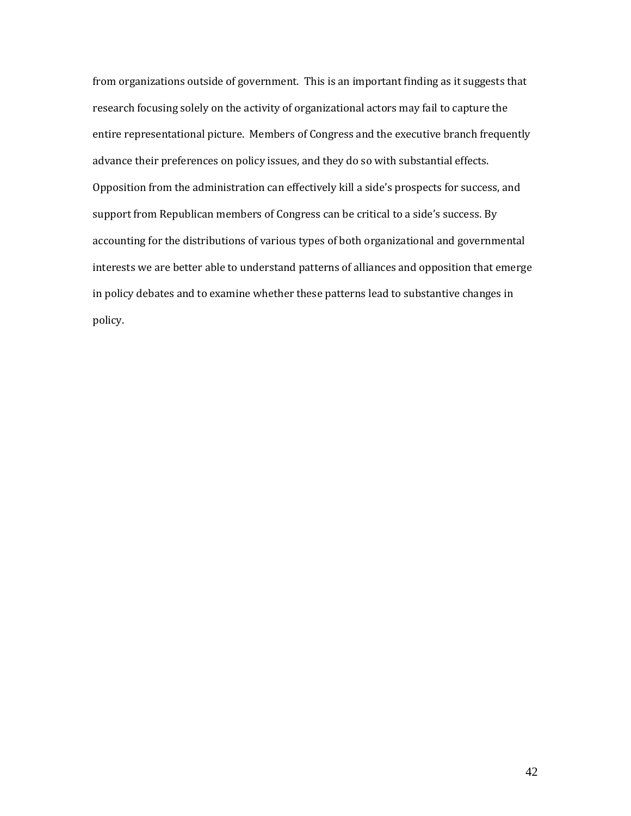from organizations outside of government. This is an important finding as it suggests that research focusing solely on the activity of organizational actors may fail to capture the entire representational picture. Members of Congress and the executive branch frequently advance their preferences on policy issues, and they do so with substantial effects. Opposition from the administration can effectively kill a side's prospects for success, and support from Republican members of Congress can be critical to a side's success. By accounting for the distributions of various types of both organizational and governmental interests we are better able to understand patterns of alliances and opposition that emerge in policy debates and to examine whether these patterns lead to substantive changes in policy.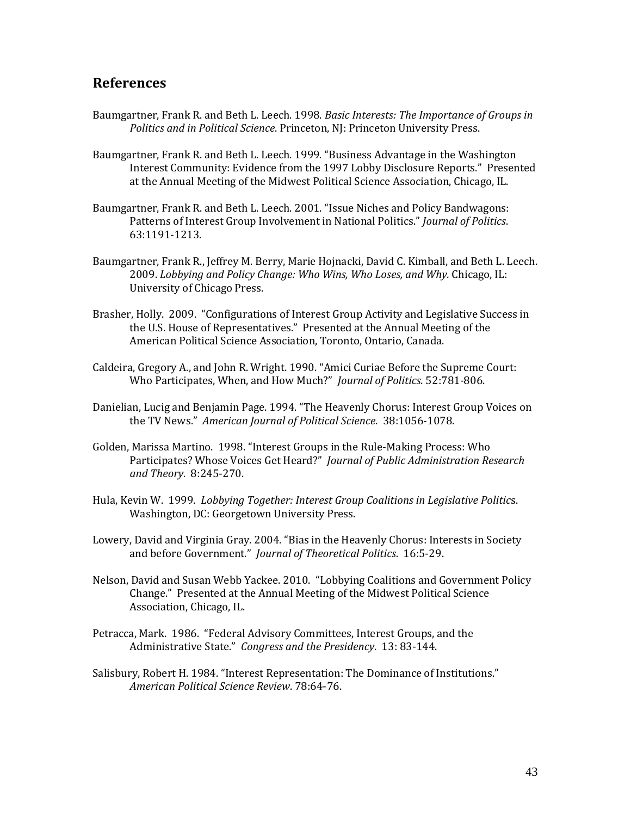## **References**

- Baumgartner, Frank R. and Beth L. Leech. 1998. *Basic Interests: The Importance of Groups in Politics and in Political Science*. Princeton, NJ: Princeton University Press.
- Baumgartner, Frank R. and Beth L. Leech. 1999. "Business Advantage in the Washington Interest Community: Evidence from the 1997 Lobby Disclosure Reports." Presented at the Annual Meeting of the Midwest Political Science Association, Chicago, IL.
- Baumgartner, Frank R. and Beth L. Leech. 2001. "Issue Niches and Policy Bandwagons: Patterns of Interest Group Involvement in National Politics." *Journal of Politics*. 63:1191-1213.
- Baumgartner, Frank R., Jeffrey M. Berry, Marie Hojnacki, David C. Kimball, and Beth L. Leech. 2009. *Lobbying and Policy Change: Who Wins, Who Loses, and Why.* Chicago, IL: University of Chicago Press.
- Brasher, Holly. 2009. "Configurations of Interest Group Activity and Legislative Success in the U.S. House of Representatives." Presented at the Annual Meeting of the American Political Science Association, Toronto, Ontario, Canada.
- Caldeira, Gregory A., and John R. Wright. 1990. "Amici Curiae Before the Supreme Court: Who Participates, When, and How Much?" *Journal of Politics*. 52:781-806.
- Danielian, Lucig and Benjamin Page. 1994. "The Heavenly Chorus: Interest Group Voices on the TV News." *American Journal of Political Science*. 38:1056-1078.
- Golden, Marissa Martino. 1998. "Interest Groups in the Rule-Making Process: Who Participates? Whose Voices Get Heard?" *Journal of Public Administration Research and Theory*. 8:245-270.
- Hula, Kevin W. 1999. *Lobbying Together: Interest Group Coalitions in Legislative Politic*s. Washington, DC: Georgetown University Press.
- Lowery, David and Virginia Gray. 2004. "Bias in the Heavenly Chorus: Interests in Society and before Government." *Journal of Theoretical Politics*. 16:5-29.
- Nelson, David and Susan Webb Yackee. 2010. "Lobbying Coalitions and Government Policy Change." Presented at the Annual Meeting of the Midwest Political Science Association, Chicago, IL.
- Petracca, Mark. 1986. "Federal Advisory Committees, Interest Groups, and the Administrative State." *Congress and the Presidency*. 13: 83-144.
- Salisbury, Robert H. 1984. "Interest Representation: The Dominance of Institutions." *American Political Science Review*. 78:64-76.